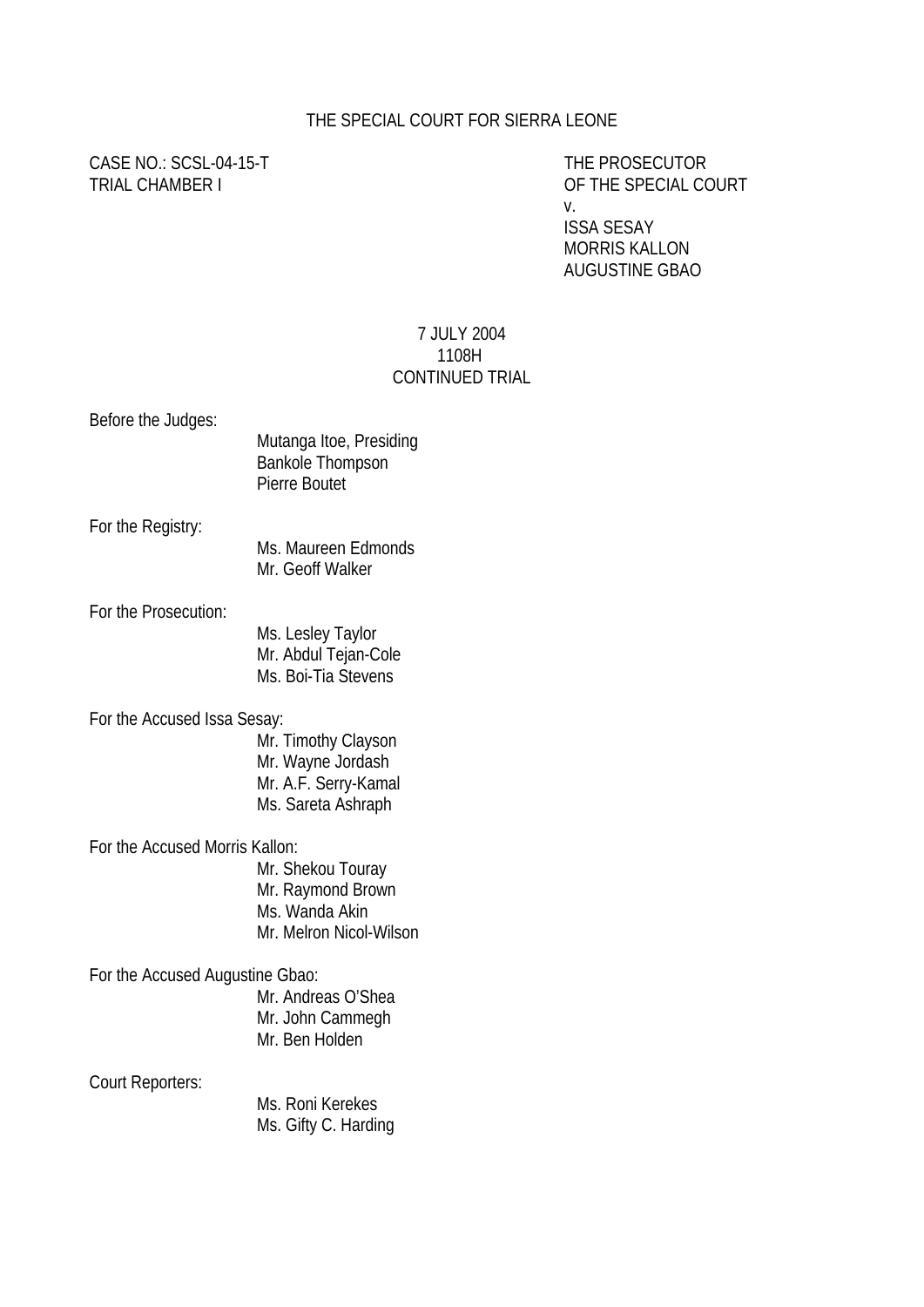## THE SPECIAL COURT FOR SIERRA LEONE

CASE NO.: SCSL-04-15-T THE PROSECUTOR

TRIAL CHAMBER I OF THE SPECIAL COURT v. ISSA SESAY

 MORRIS KALLON AUGUSTINE GBAO

## 7 JULY 2004 1108H CONTINUED TRIAL

| Before the Judges:              | Mutanga Itoe, Presiding<br><b>Bankole Thompson</b><br>Pierre Boutet                    |
|---------------------------------|----------------------------------------------------------------------------------------|
| For the Registry:               | Ms. Maureen Edmonds<br>Mr. Geoff Walker                                                |
| For the Prosecution:            | Ms. Lesley Taylor<br>Mr. Abdul Tejan-Cole<br>Ms. Boi-Tia Stevens                       |
| For the Accused Issa Sesay:     | Mr. Timothy Clayson<br>Mr. Wayne Jordash<br>Mr. A.F. Serry-Kamal<br>Ms. Sareta Ashraph |
| For the Accused Morris Kallon:  | Mr. Shekou Touray<br>Mr. Raymond Brown<br>Ms. Wanda Akin<br>Mr. Melron Nicol-Wilson    |
| For the Accused Augustine Gbao: | Mr. Andreas O'Shea<br>Mr. John Cammegh<br>Mr. Ben Holden                               |
| <b>Court Reporters:</b>         | Ms. Roni Kerekes<br>Ms. Gifty C. Harding                                               |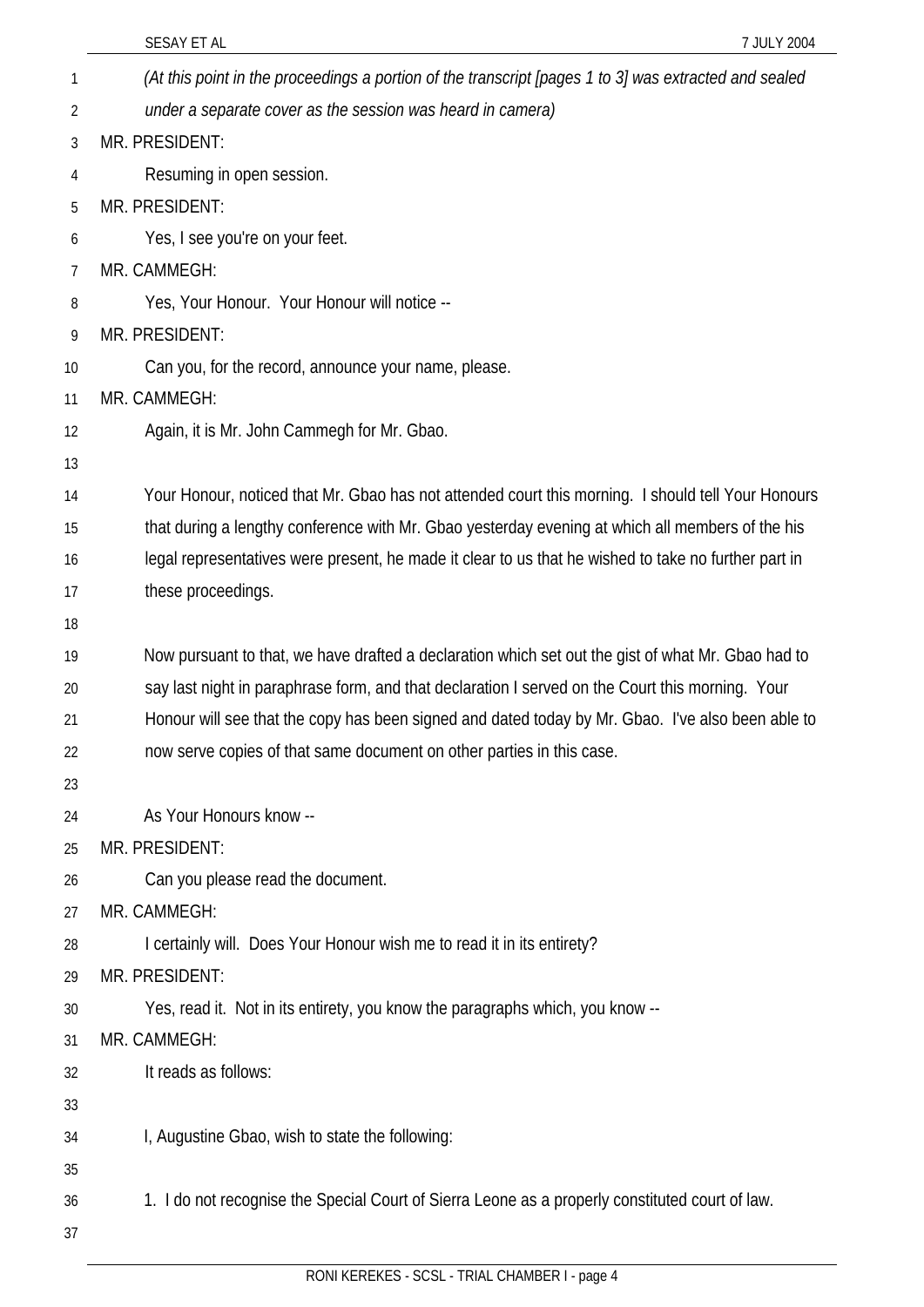|    | SESAY ET AL<br>7 JULY 2004                                                                            |
|----|-------------------------------------------------------------------------------------------------------|
| 1  | (At this point in the proceedings a portion of the transcript [pages 1 to 3] was extracted and sealed |
| 2  | under a separate cover as the session was heard in camera)                                            |
| 3  | MR. PRESIDENT:                                                                                        |
| 4  | Resuming in open session.                                                                             |
| 5  | MR. PRESIDENT:                                                                                        |
| 6  | Yes, I see you're on your feet.                                                                       |
| 7  | MR. CAMMEGH:                                                                                          |
| 8  | Yes, Your Honour. Your Honour will notice --                                                          |
| 9  | MR. PRESIDENT:                                                                                        |
| 10 | Can you, for the record, announce your name, please.                                                  |
| 11 | MR. CAMMEGH:                                                                                          |
| 12 | Again, it is Mr. John Cammegh for Mr. Gbao.                                                           |
| 13 |                                                                                                       |
| 14 | Your Honour, noticed that Mr. Gbao has not attended court this morning. I should tell Your Honours    |
| 15 | that during a lengthy conference with Mr. Gbao yesterday evening at which all members of the his      |
| 16 | legal representatives were present, he made it clear to us that he wished to take no further part in  |
| 17 | these proceedings.                                                                                    |
| 18 |                                                                                                       |
| 19 | Now pursuant to that, we have drafted a declaration which set out the gist of what Mr. Gbao had to    |
| 20 | say last night in paraphrase form, and that declaration I served on the Court this morning. Your      |
| 21 | Honour will see that the copy has been signed and dated today by Mr. Gbao. I've also been able to     |
| 22 | now serve copies of that same document on other parties in this case.                                 |
| 23 |                                                                                                       |
| 24 | As Your Honours know --                                                                               |
| 25 | MR. PRESIDENT:                                                                                        |
| 26 | Can you please read the document.                                                                     |
| 27 | MR. CAMMEGH:                                                                                          |
| 28 | I certainly will. Does Your Honour wish me to read it in its entirety?                                |
| 29 | MR. PRESIDENT:                                                                                        |
| 30 | Yes, read it. Not in its entirety, you know the paragraphs which, you know --                         |
| 31 | MR. CAMMEGH:                                                                                          |
| 32 | It reads as follows:                                                                                  |
| 33 |                                                                                                       |
| 34 | I, Augustine Gbao, wish to state the following:                                                       |
| 35 |                                                                                                       |
| 36 | 1. I do not recognise the Special Court of Sierra Leone as a properly constituted court of law.       |
| 37 |                                                                                                       |
|    |                                                                                                       |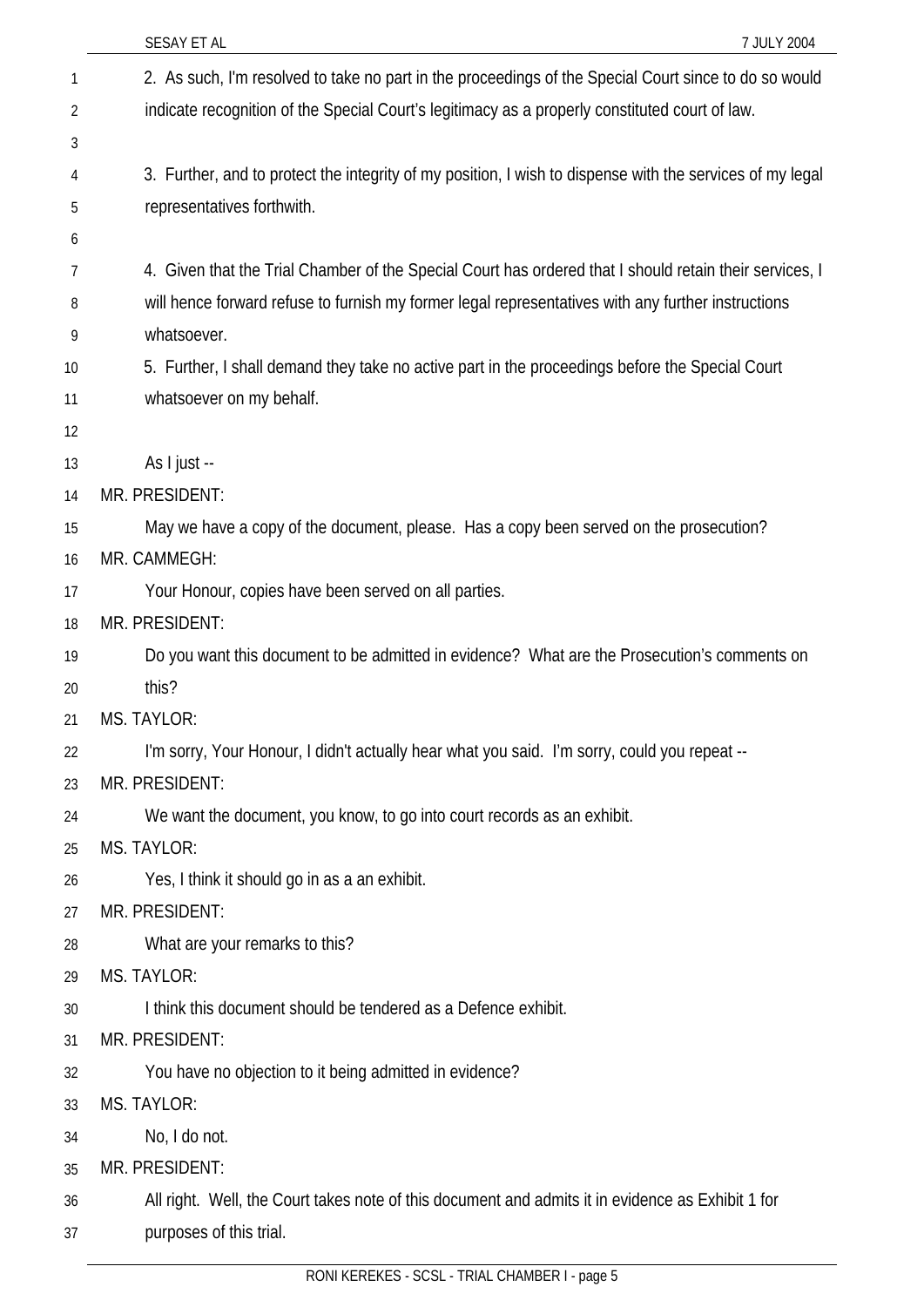|    | SESAY ET AL<br>7 JULY 2004                                                                                |
|----|-----------------------------------------------------------------------------------------------------------|
| 1  | 2. As such, I'm resolved to take no part in the proceedings of the Special Court since to do so would     |
| 2  | indicate recognition of the Special Court's legitimacy as a properly constituted court of law.            |
| 3  |                                                                                                           |
| 4  | 3. Further, and to protect the integrity of my position, I wish to dispense with the services of my legal |
| 5  | representatives forthwith.                                                                                |
| 6  |                                                                                                           |
| 7  | 4. Given that the Trial Chamber of the Special Court has ordered that I should retain their services, I   |
| 8  | will hence forward refuse to furnish my former legal representatives with any further instructions        |
| 9  | whatsoever.                                                                                               |
| 10 | 5. Further, I shall demand they take no active part in the proceedings before the Special Court           |
| 11 | whatsoever on my behalf.                                                                                  |
| 12 |                                                                                                           |
| 13 | As I just --                                                                                              |
| 14 | MR. PRESIDENT:                                                                                            |
| 15 | May we have a copy of the document, please. Has a copy been served on the prosecution?                    |
| 16 | MR. CAMMEGH:                                                                                              |
| 17 | Your Honour, copies have been served on all parties.                                                      |
| 18 | MR. PRESIDENT:                                                                                            |
| 19 | Do you want this document to be admitted in evidence? What are the Prosecution's comments on              |
| 20 | this?                                                                                                     |
| 21 | MS. TAYLOR:                                                                                               |
| 22 | I'm sorry, Your Honour, I didn't actually hear what you said. I'm sorry, could you repeat --              |
| 23 | MR. PRESIDENT:                                                                                            |
| 24 | We want the document, you know, to go into court records as an exhibit.                                   |
| 25 | MS. TAYLOR:                                                                                               |
| 26 | Yes, I think it should go in as a an exhibit.                                                             |
| 27 | MR. PRESIDENT:                                                                                            |
| 28 | What are your remarks to this?                                                                            |
| 29 | <b>MS. TAYLOR:</b>                                                                                        |
| 30 | I think this document should be tendered as a Defence exhibit.                                            |
| 31 | MR. PRESIDENT:                                                                                            |
| 32 | You have no objection to it being admitted in evidence?                                                   |
| 33 | <b>MS. TAYLOR:</b>                                                                                        |
| 34 | No, I do not.                                                                                             |
| 35 | MR. PRESIDENT:                                                                                            |
| 36 | All right. Well, the Court takes note of this document and admits it in evidence as Exhibit 1 for         |
| 37 | purposes of this trial.                                                                                   |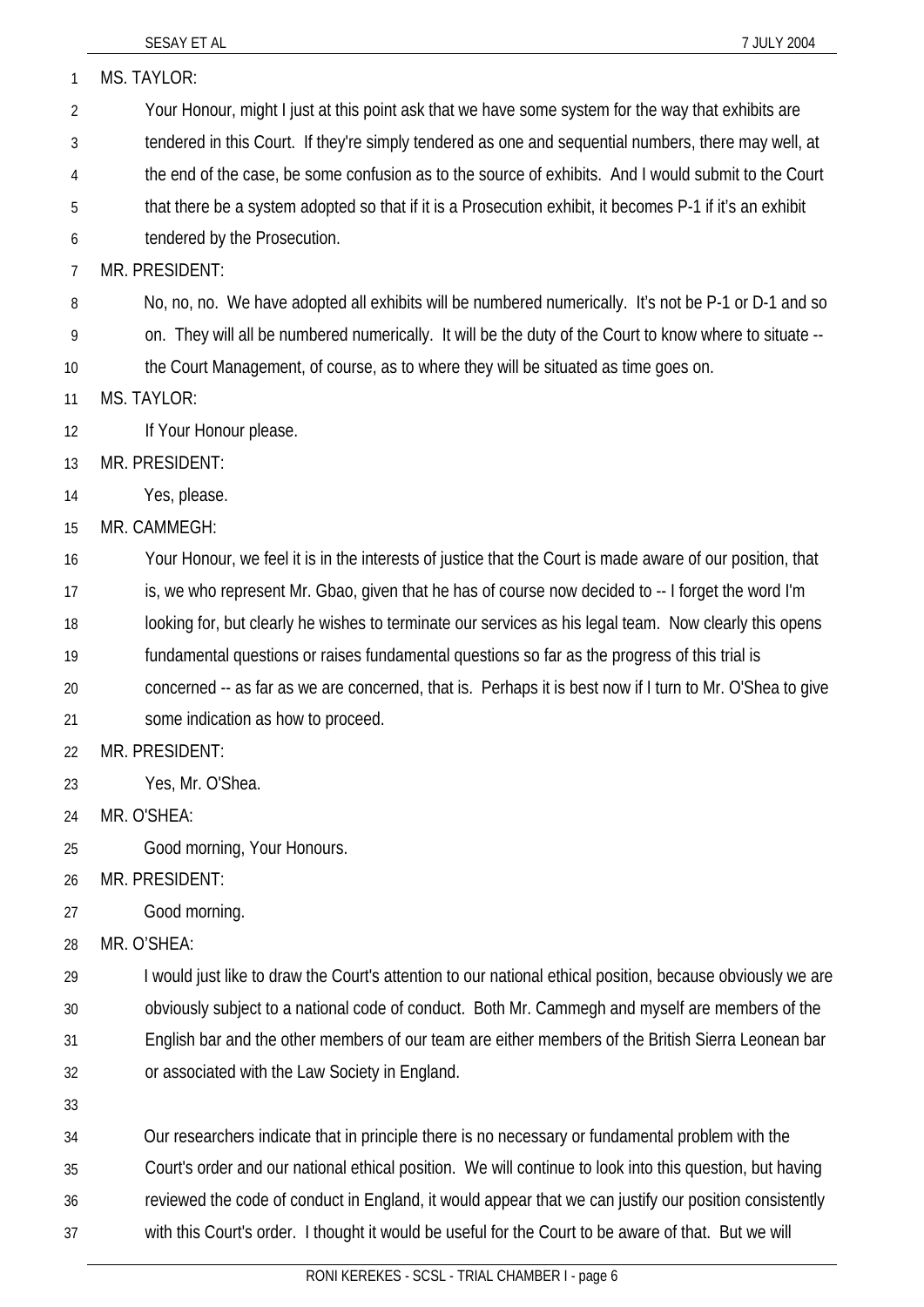| 1              | MS. TAYLOR:                                                                                                |
|----------------|------------------------------------------------------------------------------------------------------------|
| $\overline{2}$ | Your Honour, might I just at this point ask that we have some system for the way that exhibits are         |
| 3              | tendered in this Court. If they're simply tendered as one and sequential numbers, there may well, at       |
| 4              | the end of the case, be some confusion as to the source of exhibits. And I would submit to the Court       |
| 5              | that there be a system adopted so that if it is a Prosecution exhibit, it becomes P-1 if it's an exhibit   |
| 6              | tendered by the Prosecution.                                                                               |
| 7              | MR. PRESIDENT:                                                                                             |
| 8              | No, no, no. We have adopted all exhibits will be numbered numerically. It's not be P-1 or D-1 and so       |
| 9              | on. They will all be numbered numerically. It will be the duty of the Court to know where to situate --    |
| 10             | the Court Management, of course, as to where they will be situated as time goes on.                        |
| 11             | MS. TAYLOR:                                                                                                |
| 12             | If Your Honour please.                                                                                     |
| 13             | MR. PRESIDENT:                                                                                             |
| 14             | Yes, please.                                                                                               |
| 15             | MR. CAMMEGH:                                                                                               |
| 16             | Your Honour, we feel it is in the interests of justice that the Court is made aware of our position, that  |
| 17             | is, we who represent Mr. Gbao, given that he has of course now decided to -- I forget the word I'm         |
| 18             | looking for, but clearly he wishes to terminate our services as his legal team. Now clearly this opens     |
| 19             | fundamental questions or raises fundamental questions so far as the progress of this trial is              |
| 20             | concerned -- as far as we are concerned, that is. Perhaps it is best now if I turn to Mr. O'Shea to give   |
| 21             | some indication as how to proceed.                                                                         |
| 22             | MR. PRESIDENT:                                                                                             |
| 23             | Yes, Mr. O'Shea.                                                                                           |
| 24             | MR. O'SHEA:                                                                                                |
| 25             | Good morning, Your Honours.                                                                                |
| 26             | MR. PRESIDENT:                                                                                             |
| 27             | Good morning.                                                                                              |
| 28             | MR. O'SHEA:                                                                                                |
| 29             | I would just like to draw the Court's attention to our national ethical position, because obviously we are |
| 30             | obviously subject to a national code of conduct. Both Mr. Cammegh and myself are members of the            |
| 31             | English bar and the other members of our team are either members of the British Sierra Leonean bar         |
| 32             | or associated with the Law Society in England.                                                             |
| 33             |                                                                                                            |
| 34             | Our researchers indicate that in principle there is no necessary or fundamental problem with the           |
| 35             | Court's order and our national ethical position. We will continue to look into this question, but having   |
| 36             | reviewed the code of conduct in England, it would appear that we can justify our position consistently     |
| 37             | with this Court's order. I thought it would be useful for the Court to be aware of that. But we will       |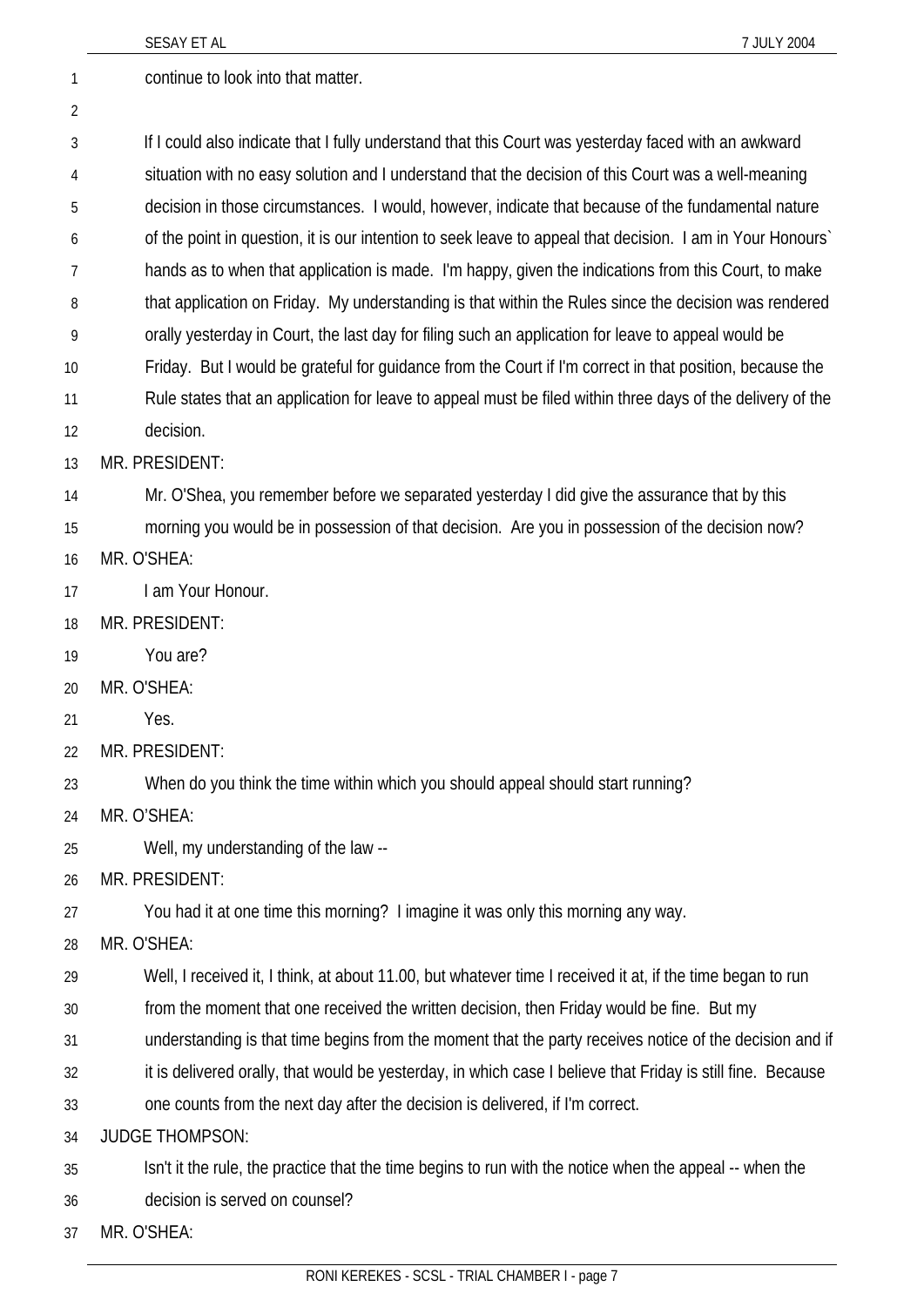|    | SESAY ET AL<br>7 JULY 2004                                                                                  |
|----|-------------------------------------------------------------------------------------------------------------|
| 1  | continue to look into that matter.                                                                          |
| 2  |                                                                                                             |
| 3  | If I could also indicate that I fully understand that this Court was yesterday faced with an awkward        |
| 4  | situation with no easy solution and I understand that the decision of this Court was a well-meaning         |
| 5  | decision in those circumstances. I would, however, indicate that because of the fundamental nature          |
| 6  | of the point in question, it is our intention to seek leave to appeal that decision. I am in Your Honours'  |
| 7  | hands as to when that application is made. I'm happy, given the indications from this Court, to make        |
| 8  | that application on Friday. My understanding is that within the Rules since the decision was rendered       |
| 9  | orally yesterday in Court, the last day for filing such an application for leave to appeal would be         |
| 10 | Friday. But I would be grateful for guidance from the Court if I'm correct in that position, because the    |
| 11 | Rule states that an application for leave to appeal must be filed within three days of the delivery of the  |
| 12 | decision.                                                                                                   |
| 13 | MR. PRESIDENT:                                                                                              |
| 14 | Mr. O'Shea, you remember before we separated yesterday I did give the assurance that by this                |
| 15 | morning you would be in possession of that decision. Are you in possession of the decision now?             |
| 16 | MR. O'SHEA:                                                                                                 |
| 17 | I am Your Honour.                                                                                           |
| 18 | MR. PRESIDENT:                                                                                              |
| 19 | You are?                                                                                                    |
| 20 | MR. O'SHEA:                                                                                                 |
| 21 | Yes.                                                                                                        |
| 22 | MR. PRESIDENT:                                                                                              |
| 23 | When do you think the time within which you should appeal should start running?                             |
| 24 | MR. O'SHEA:                                                                                                 |
| 25 | Well, my understanding of the law --                                                                        |
| 26 | MR. PRESIDENT:                                                                                              |
| 27 | You had it at one time this morning? I imagine it was only this morning any way.                            |
| 28 | MR. O'SHEA:                                                                                                 |
| 29 | Well, I received it, I think, at about 11.00, but whatever time I received it at, if the time began to run  |
| 30 | from the moment that one received the written decision, then Friday would be fine. But my                   |
| 31 | understanding is that time begins from the moment that the party receives notice of the decision and if     |
| 32 | it is delivered orally, that would be yesterday, in which case I believe that Friday is still fine. Because |
| 33 | one counts from the next day after the decision is delivered, if I'm correct.                               |
| 34 | <b>JUDGE THOMPSON:</b>                                                                                      |
| 35 | Isn't it the rule, the practice that the time begins to run with the notice when the appeal -- when the     |
| 36 | decision is served on counsel?                                                                              |
| 37 | MR. O'SHEA:                                                                                                 |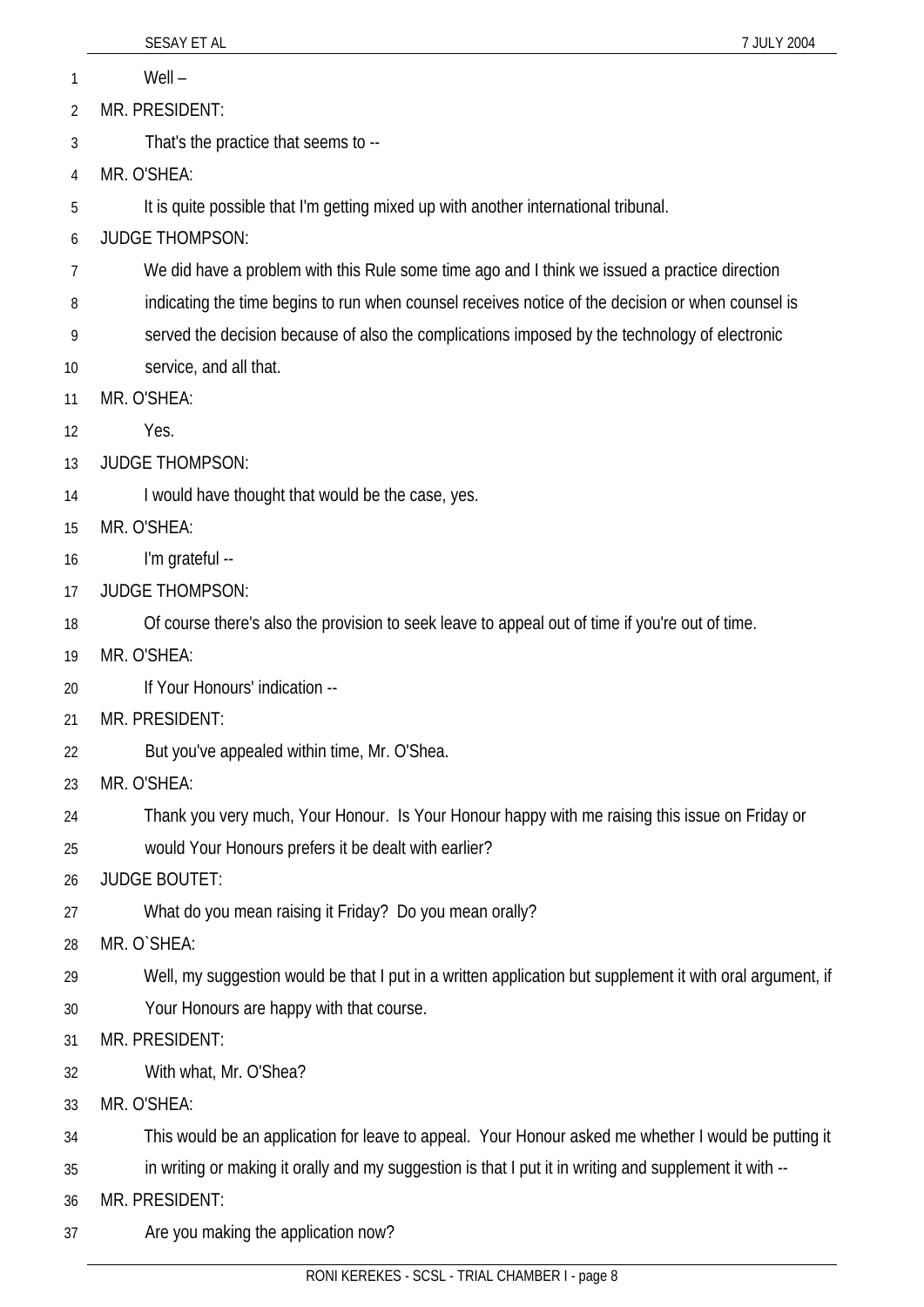|                | SESAY ET AL<br>7 JULY 2004                                                                                |
|----------------|-----------------------------------------------------------------------------------------------------------|
| 1              | $Well -$                                                                                                  |
| $\overline{2}$ | MR. PRESIDENT:                                                                                            |
| 3              | That's the practice that seems to --                                                                      |
| 4              | MR. O'SHEA:                                                                                               |
| 5              | It is quite possible that I'm getting mixed up with another international tribunal.                       |
| 6              | <b>JUDGE THOMPSON:</b>                                                                                    |
| 7              | We did have a problem with this Rule some time ago and I think we issued a practice direction             |
| 8              | indicating the time begins to run when counsel receives notice of the decision or when counsel is         |
| 9              | served the decision because of also the complications imposed by the technology of electronic             |
| 10             | service, and all that.                                                                                    |
| 11             | MR. O'SHEA:                                                                                               |
| 12             | Yes.                                                                                                      |
| 13             | <b>JUDGE THOMPSON:</b>                                                                                    |
| 14             | I would have thought that would be the case, yes.                                                         |
| 15             | MR. O'SHEA:                                                                                               |
| 16             | I'm grateful --                                                                                           |
| 17             | <b>JUDGE THOMPSON:</b>                                                                                    |
| 18             | Of course there's also the provision to seek leave to appeal out of time if you're out of time.           |
| 19             | MR. O'SHEA:                                                                                               |
| 20             | If Your Honours' indication --                                                                            |
| 21             | MR. PRESIDENT:                                                                                            |
| 22             | But you've appealed within time, Mr. O'Shea.                                                              |
| 23             | MR. O'SHEA:                                                                                               |
| 24             | Thank you very much, Your Honour. Is Your Honour happy with me raising this issue on Friday or            |
| 25             | would Your Honours prefers it be dealt with earlier?                                                      |
| 26             | <b>JUDGE BOUTET:</b>                                                                                      |
| 27             | What do you mean raising it Friday? Do you mean orally?                                                   |
| 28             | MR. O`SHEA:                                                                                               |
| 29             | Well, my suggestion would be that I put in a written application but supplement it with oral argument, if |
| 30             | Your Honours are happy with that course.                                                                  |
| 31             | MR. PRESIDENT:                                                                                            |
| 32             | With what, Mr. O'Shea?                                                                                    |
| 33             | MR. O'SHEA:                                                                                               |
| 34             | This would be an application for leave to appeal. Your Honour asked me whether I would be putting it      |
| 35             | in writing or making it orally and my suggestion is that I put it in writing and supplement it with --    |
| 36             | MR. PRESIDENT:                                                                                            |
| 37             | Are you making the application now?                                                                       |
|                | RONI KEREKES - SCSL - TRIAL CHAMBER I - page 8                                                            |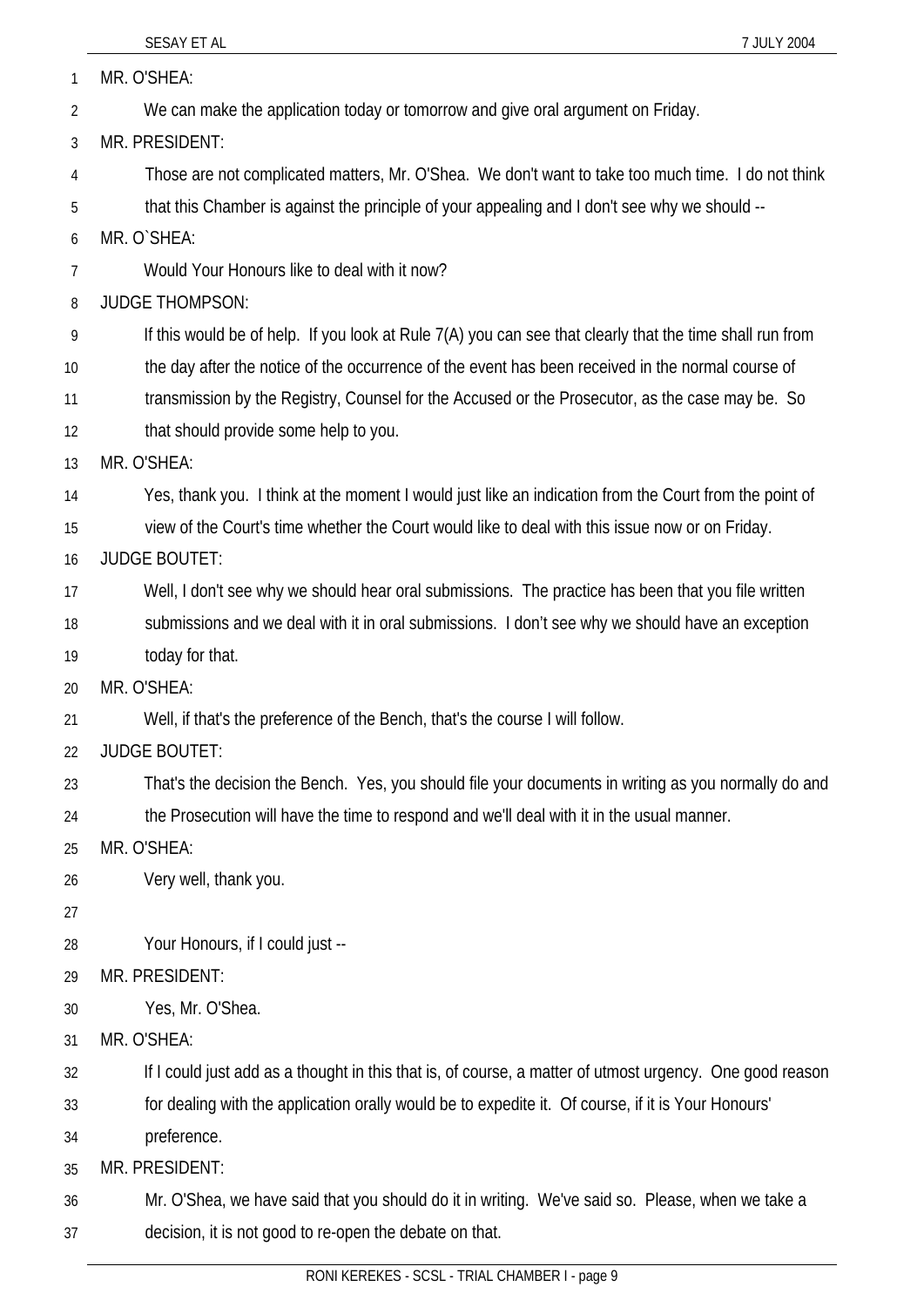| 1              | MR. O'SHEA:                                                                                              |
|----------------|----------------------------------------------------------------------------------------------------------|
| $\overline{2}$ | We can make the application today or tomorrow and give oral argument on Friday.                          |
| 3              | MR. PRESIDENT:                                                                                           |
| 4              | Those are not complicated matters, Mr. O'Shea. We don't want to take too much time. I do not think       |
| 5              | that this Chamber is against the principle of your appealing and I don't see why we should --            |
| 6              | MR. O`SHEA:                                                                                              |
| 7              | Would Your Honours like to deal with it now?                                                             |
| 8              | <b>JUDGE THOMPSON:</b>                                                                                   |
| 9              | If this would be of help. If you look at Rule 7(A) you can see that clearly that the time shall run from |
| 10             | the day after the notice of the occurrence of the event has been received in the normal course of        |
| 11             | transmission by the Registry, Counsel for the Accused or the Prosecutor, as the case may be. So          |
| 12             | that should provide some help to you.                                                                    |
| 13             | MR. O'SHEA:                                                                                              |
| 14             | Yes, thank you. I think at the moment I would just like an indication from the Court from the point of   |
| 15             | view of the Court's time whether the Court would like to deal with this issue now or on Friday.          |
| 16             | <b>JUDGE BOUTET:</b>                                                                                     |
| 17             | Well, I don't see why we should hear oral submissions. The practice has been that you file written       |
| 18             | submissions and we deal with it in oral submissions. I don't see why we should have an exception         |
| 19             | today for that.                                                                                          |
| 20             | MR. O'SHEA:                                                                                              |
| 21             | Well, if that's the preference of the Bench, that's the course I will follow.                            |
| 22             | <b>JUDGE BOUTET:</b>                                                                                     |
| 23             | That's the decision the Bench. Yes, you should file your documents in writing as you normally do and     |
| 24             | the Prosecution will have the time to respond and we'll deal with it in the usual manner.                |
| 25             | MR. O'SHEA:                                                                                              |
| 26             | Very well, thank you.                                                                                    |
| 27             |                                                                                                          |
| 28             | Your Honours, if I could just --                                                                         |
| 29             | MR. PRESIDENT:                                                                                           |
| 30             | Yes, Mr. O'Shea.                                                                                         |
| 31             | MR. O'SHEA:                                                                                              |
| 32             | If I could just add as a thought in this that is, of course, a matter of utmost urgency. One good reason |
| 33             | for dealing with the application orally would be to expedite it. Of course, if it is Your Honours'       |
| 34             | preference.                                                                                              |
| 35             | MR. PRESIDENT:                                                                                           |
| 36             | Mr. O'Shea, we have said that you should do it in writing. We've said so. Please, when we take a         |
| 37             | decision, it is not good to re-open the debate on that.                                                  |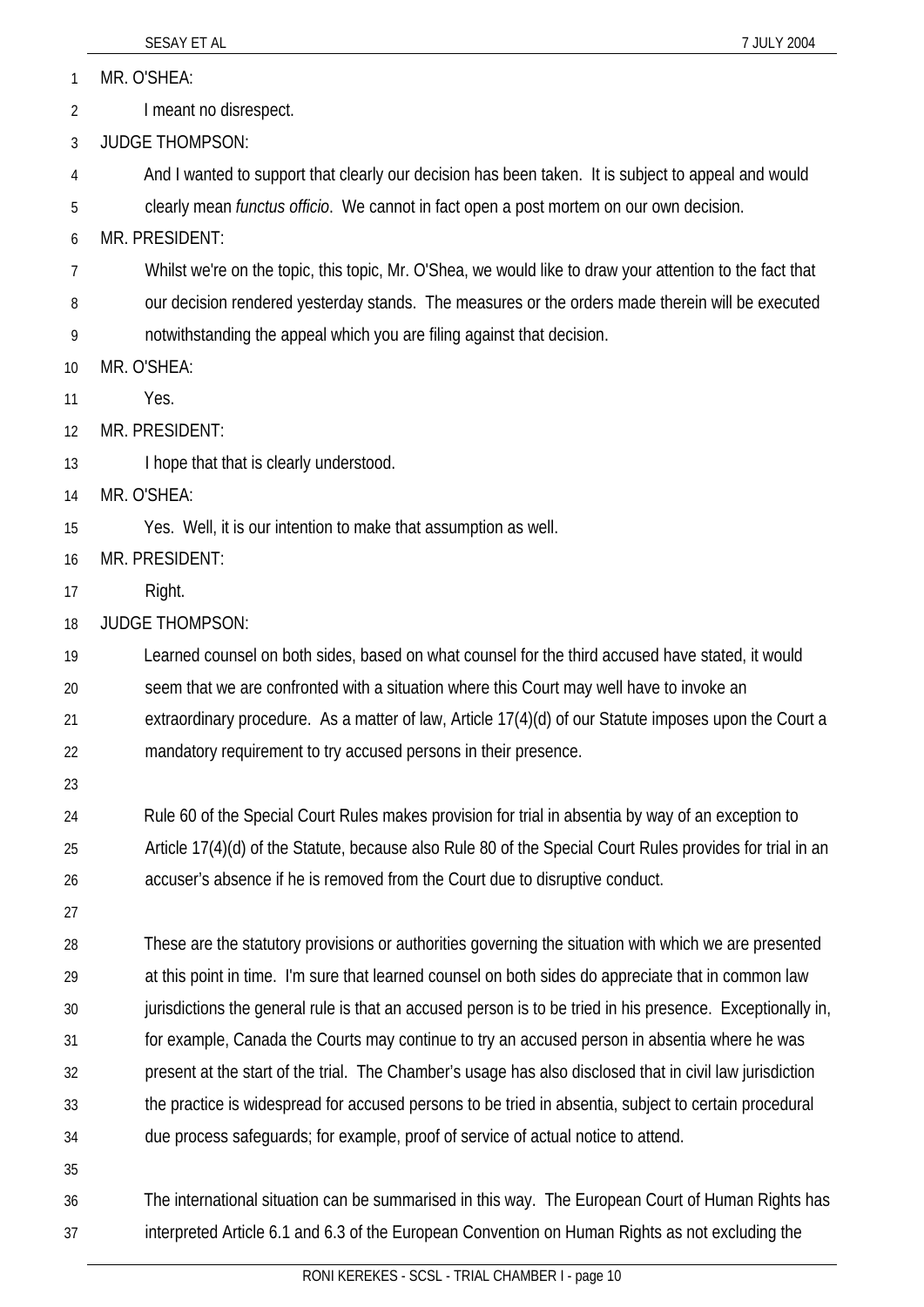1 MR. O'SHEA:

- 2 I meant no disrespect.
- 3 JUDGE THOMPSON:
- 4 And I wanted to support that clearly our decision has been taken. It is subject to appeal and would
- 5 clearly mean *functus officio*. We cannot in fact open a post mortem on our own decision.

6 MR. PRESIDENT:

- 7 Whilst we're on the topic, this topic, Mr. O'Shea, we would like to draw your attention to the fact that
- 8 our decision rendered yesterday stands. The measures or the orders made therein will be executed
- 9 notwithstanding the appeal which you are filing against that decision.
- 10 MR. O'SHEA:
- 11 Yes.
- 12 MR. PRESIDENT:
- 13 I hope that that is clearly understood.
- 14 MR. O'SHEA:
- 15 Yes. Well, it is our intention to make that assumption as well.
- 16 MR. PRESIDENT:
- 17 Right.
- 18 JUDGE THOMPSON:
- 19 20 21 Learned counsel on both sides, based on what counsel for the third accused have stated, it would seem that we are confronted with a situation where this Court may well have to invoke an extraordinary procedure. As a matter of law, Article 17(4)(d) of our Statute imposes upon the Court a
- 22 mandatory requirement to try accused persons in their presence.
- 23
- 24 25 26 Rule 60 of the Special Court Rules makes provision for trial in absentia by way of an exception to Article 17(4)(d) of the Statute, because also Rule 80 of the Special Court Rules provides for trial in an accuser's absence if he is removed from the Court due to disruptive conduct.
- 27
- 28 29 30 31 32 33 34 These are the statutory provisions or authorities governing the situation with which we are presented at this point in time. I'm sure that learned counsel on both sides do appreciate that in common law jurisdictions the general rule is that an accused person is to be tried in his presence. Exceptionally in, for example, Canada the Courts may continue to try an accused person in absentia where he was present at the start of the trial. The Chamber's usage has also disclosed that in civil law jurisdiction the practice is widespread for accused persons to be tried in absentia, subject to certain procedural due process safeguards; for example, proof of service of actual notice to attend.
- 35
- 36 37 The international situation can be summarised in this way. The European Court of Human Rights has interpreted Article 6.1 and 6.3 of the European Convention on Human Rights as not excluding the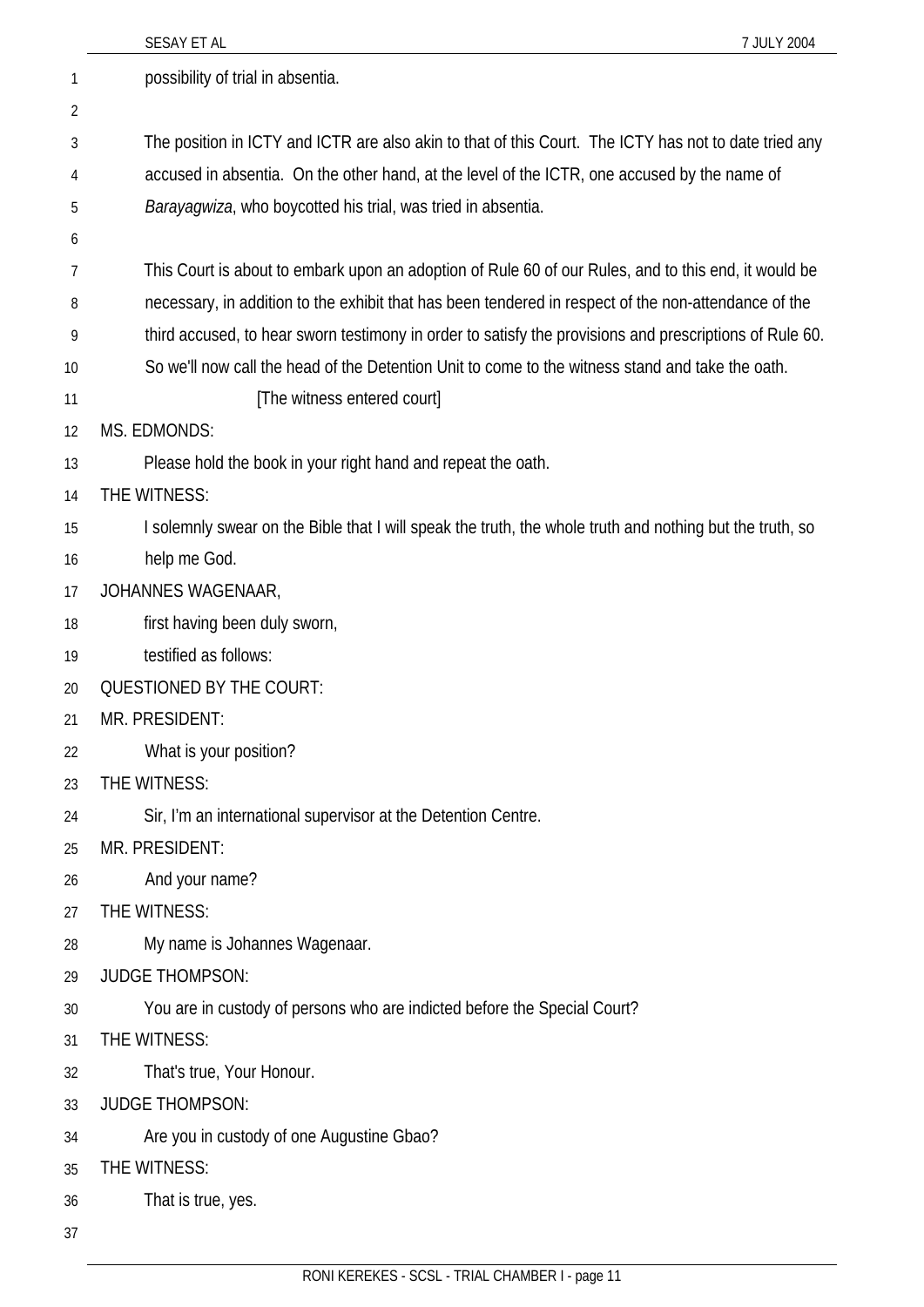|                | SESAY ET AL<br>7 JULY 2004                                                                               |
|----------------|----------------------------------------------------------------------------------------------------------|
| 1              | possibility of trial in absentia.                                                                        |
| $\overline{2}$ |                                                                                                          |
| 3              | The position in ICTY and ICTR are also akin to that of this Court. The ICTY has not to date tried any    |
| 4              | accused in absentia. On the other hand, at the level of the ICTR, one accused by the name of             |
| 5              | Barayagwiza, who boycotted his trial, was tried in absentia.                                             |
| 6              |                                                                                                          |
| 7              | This Court is about to embark upon an adoption of Rule 60 of our Rules, and to this end, it would be     |
| 8              | necessary, in addition to the exhibit that has been tendered in respect of the non-attendance of the     |
| 9              | third accused, to hear sworn testimony in order to satisfy the provisions and prescriptions of Rule 60.  |
| 10             | So we'll now call the head of the Detention Unit to come to the witness stand and take the oath.         |
| 11             | [The witness entered court]                                                                              |
| 12             | MS. EDMONDS:                                                                                             |
| 13             | Please hold the book in your right hand and repeat the oath.                                             |
| 14             | THE WITNESS:                                                                                             |
| 15             | I solemnly swear on the Bible that I will speak the truth, the whole truth and nothing but the truth, so |
| 16             | help me God.                                                                                             |
| 17             | JOHANNES WAGENAAR,                                                                                       |
| 18             | first having been duly sworn,                                                                            |
| 19             | testified as follows:                                                                                    |
| 20             | <b>QUESTIONED BY THE COURT:</b>                                                                          |
| 21             | MR. PRESIDENT:                                                                                           |
| 22             | What is your position?                                                                                   |
| 23             | THE WITNESS:                                                                                             |
| 24             | Sir, I'm an international supervisor at the Detention Centre.                                            |
| 25             | MR. PRESIDENT:                                                                                           |
| 26             | And your name?                                                                                           |
| 27             | THE WITNESS:                                                                                             |
| 28             | My name is Johannes Wagenaar.                                                                            |
| 29             | <b>JUDGE THOMPSON:</b>                                                                                   |
| 30             | You are in custody of persons who are indicted before the Special Court?                                 |
| 31             | THE WITNESS:                                                                                             |
| 32             | That's true, Your Honour.                                                                                |
| 33             | <b>JUDGE THOMPSON:</b>                                                                                   |
| 34             | Are you in custody of one Augustine Gbao?                                                                |
| 35             | THE WITNESS:                                                                                             |
| 36             | That is true, yes.                                                                                       |
| 37             |                                                                                                          |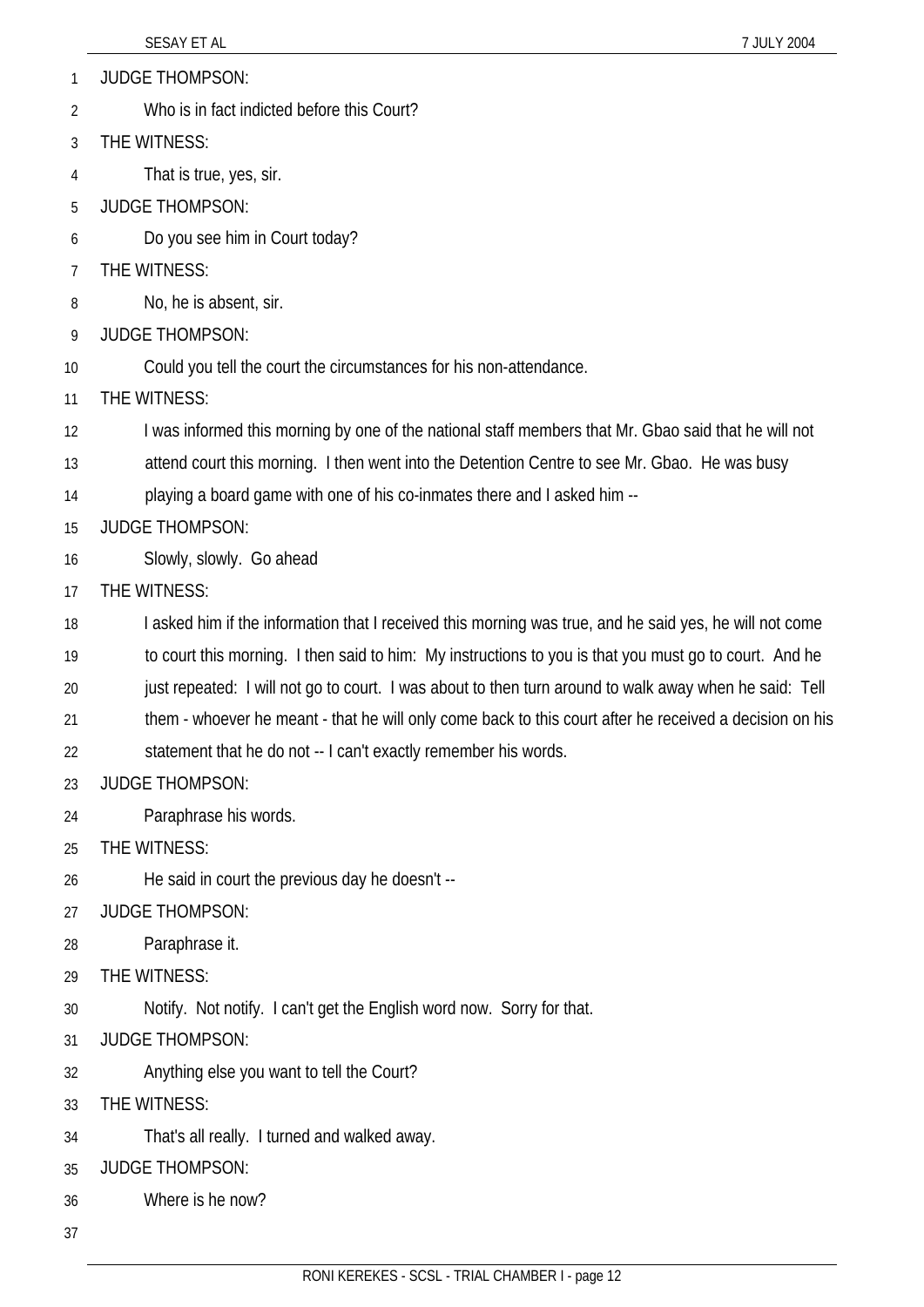1 JUDGE THOMPSON:

- 2 Who is in fact indicted before this Court?
- 3 THE WITNESS:
- 4 That is true, yes, sir.
- 5 JUDGE THOMPSON:
- 6 Do you see him in Court today?
- 7 THE WITNESS:
- 8 No, he is absent, sir.
- 9 JUDGE THOMPSON:
- 10 Could you tell the court the circumstances for his non-attendance.
- 11 THE WITNESS:
- 12 I was informed this morning by one of the national staff members that Mr. Gbao said that he will not
- 13 attend court this morning. I then went into the Detention Centre to see Mr. Gbao. He was busy
- 14 playing a board game with one of his co-inmates there and I asked him --
- 15 JUDGE THOMPSON:
- 16 Slowly, slowly. Go ahead
- 17 THE WITNESS:
- 18 I asked him if the information that I received this morning was true, and he said yes, he will not come
- 19 to court this morning. I then said to him: My instructions to you is that you must go to court. And he
- 20 just repeated: I will not go to court. I was about to then turn around to walk away when he said: Tell
- 21 them - whoever he meant - that he will only come back to this court after he received a decision on his
- 22 statement that he do not -- I can't exactly remember his words.
- 23 JUDGE THOMPSON:
- 24 Paraphrase his words.
- 25 THE WITNESS:
- 26 He said in court the previous day he doesn't --
- 27 JUDGE THOMPSON:
- 28 Paraphrase it.
- 29 THE WITNESS:
- 30 Notify. Not notify. I can't get the English word now. Sorry for that.
- 31 JUDGE THOMPSON:
- 32 Anything else you want to tell the Court?
- 33 THE WITNESS:
- 34 That's all really. I turned and walked away.
- 35 JUDGE THOMPSON:
- 36 Where is he now?
- 37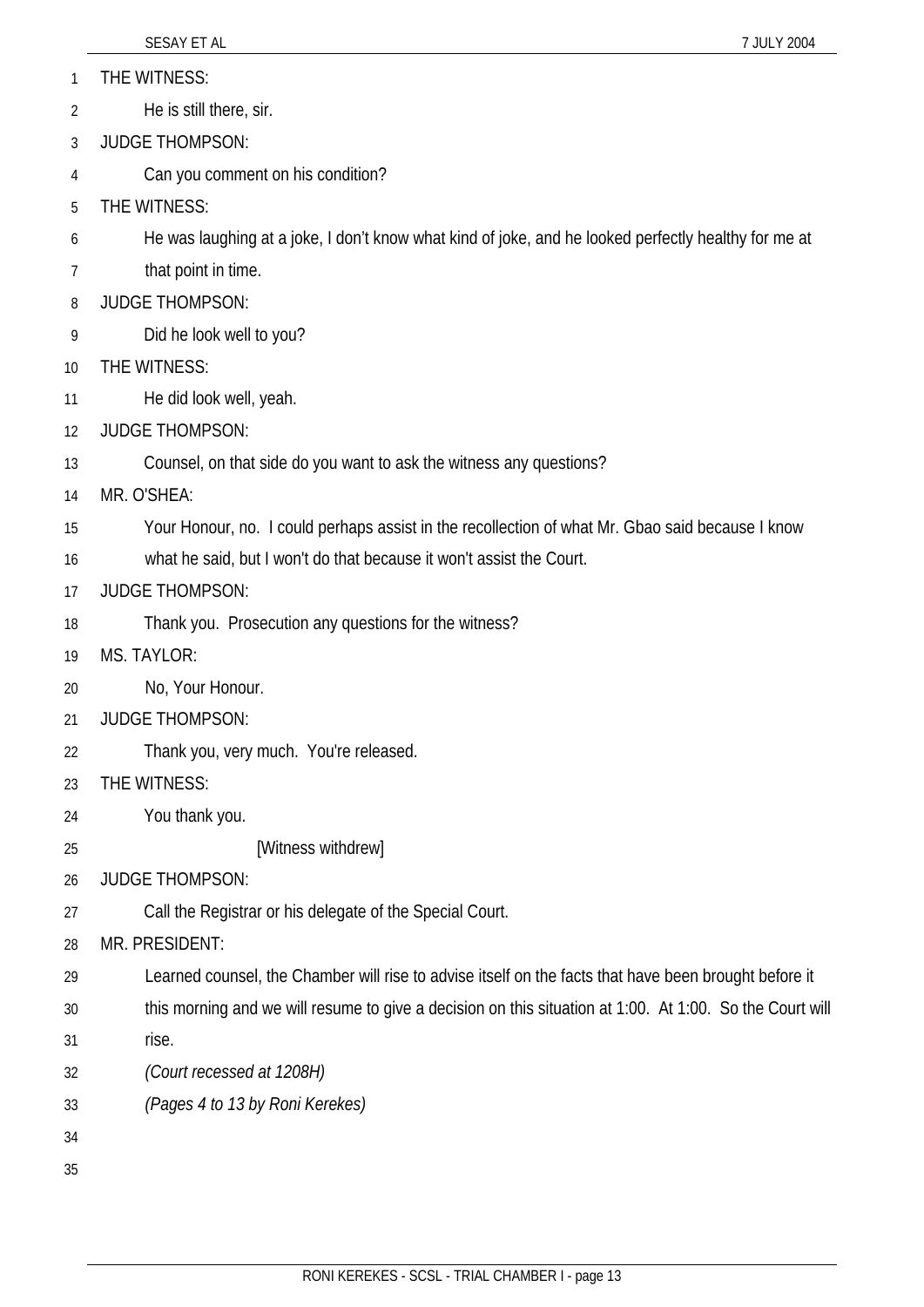- 1 THE WITNESS:
- 2 He is still there, sir.
- 3 JUDGE THOMPSON:
- 4 Can you comment on his condition?
- 5 THE WITNESS:
- 6 He was laughing at a joke, I don't know what kind of joke, and he looked perfectly healthy for me at
- 7 that point in time.
- 8 JUDGE THOMPSON:
- 9 Did he look well to you?
- 10 THE WITNESS:
- 11 He did look well, yeah.
- 12 JUDGE THOMPSON:
- 13 Counsel, on that side do you want to ask the witness any questions?
- 14 MR. O'SHEA:
- 15 Your Honour, no. I could perhaps assist in the recollection of what Mr. Gbao said because I know
- 16 what he said, but I won't do that because it won't assist the Court.
- 17 JUDGE THOMPSON:
- 18 Thank you. Prosecution any questions for the witness?
- 19 MS. TAYLOR:
- 20 No, Your Honour.
- 21 JUDGE THOMPSON:
- 22 Thank you, very much. You're released.
- 23 THE WITNESS:
- 24 You thank you.
- 25 [Witness withdrew]
- 26 JUDGE THOMPSON:
- 27 Call the Registrar or his delegate of the Special Court.
- 28 MR. PRESIDENT:
- 29 Learned counsel, the Chamber will rise to advise itself on the facts that have been brought before it
- 30 31 this morning and we will resume to give a decision on this situation at 1:00. At 1:00. So the Court will rise.
- 32 *(Court recessed at 1208H)*
- 33 *(Pages 4 to 13 by Roni Kerekes)*
- 34
- 35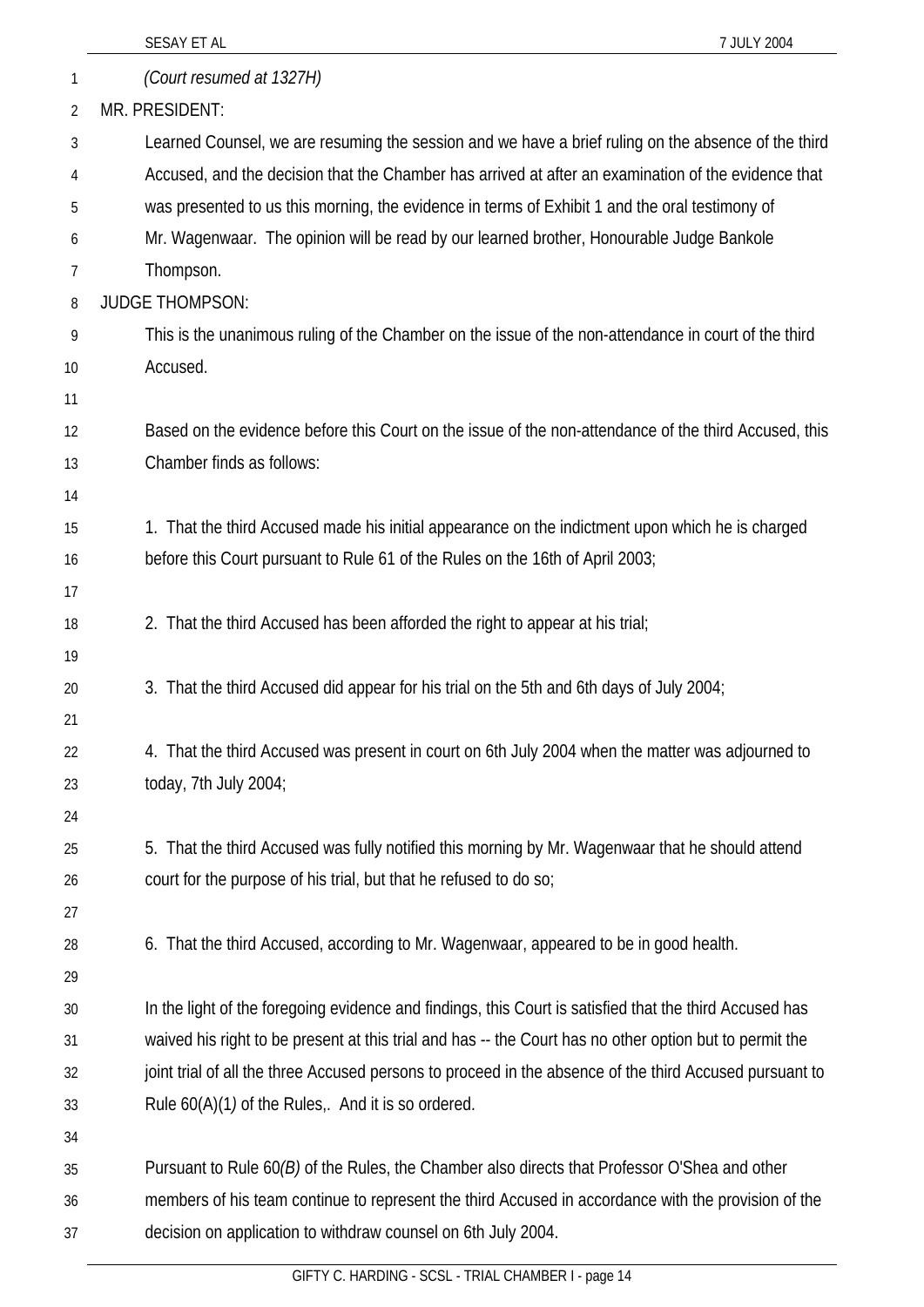|          | SESAY ET AL<br>7 JULY 2004                                                                              |
|----------|---------------------------------------------------------------------------------------------------------|
| 1        | (Court resumed at 1327H)                                                                                |
| 2        | MR. PRESIDENT:                                                                                          |
| 3        | Learned Counsel, we are resuming the session and we have a brief ruling on the absence of the third     |
| 4        | Accused, and the decision that the Chamber has arrived at after an examination of the evidence that     |
| 5        | was presented to us this morning, the evidence in terms of Exhibit 1 and the oral testimony of          |
| 6        | Mr. Wagenwaar. The opinion will be read by our learned brother, Honourable Judge Bankole                |
| 7        | Thompson.                                                                                               |
| 8        | <b>JUDGE THOMPSON:</b>                                                                                  |
| 9        | This is the unanimous ruling of the Chamber on the issue of the non-attendance in court of the third    |
| 10       | Accused.                                                                                                |
| 11       |                                                                                                         |
| 12       | Based on the evidence before this Court on the issue of the non-attendance of the third Accused, this   |
| 13       | Chamber finds as follows:                                                                               |
| 14       |                                                                                                         |
| 15       | 1. That the third Accused made his initial appearance on the indictment upon which he is charged        |
| 16       | before this Court pursuant to Rule 61 of the Rules on the 16th of April 2003;                           |
| 17       |                                                                                                         |
| 18       | 2. That the third Accused has been afforded the right to appear at his trial;                           |
| 19       |                                                                                                         |
| 20       | 3. That the third Accused did appear for his trial on the 5th and 6th days of July 2004;                |
| 21       |                                                                                                         |
| 22       | 4. That the third Accused was present in court on 6th July 2004 when the matter was adjourned to        |
| 23       | today, 7th July 2004;                                                                                   |
| 24<br>25 | 5. That the third Accused was fully notified this morning by Mr. Wagenwaar that he should attend        |
| 26       | court for the purpose of his trial, but that he refused to do so;                                       |
| 27       |                                                                                                         |
| 28       | 6. That the third Accused, according to Mr. Wagenwaar, appeared to be in good health.                   |
| 29       |                                                                                                         |
| 30       | In the light of the foregoing evidence and findings, this Court is satisfied that the third Accused has |
| 31       | waived his right to be present at this trial and has -- the Court has no other option but to permit the |
| 32       | joint trial of all the three Accused persons to proceed in the absence of the third Accused pursuant to |
| 33       | Rule 60(A)(1) of the Rules,. And it is so ordered.                                                      |
| 34       |                                                                                                         |
| 35       | Pursuant to Rule 60(B) of the Rules, the Chamber also directs that Professor O'Shea and other           |
| 36       | members of his team continue to represent the third Accused in accordance with the provision of the     |
| 37       | decision on application to withdraw counsel on 6th July 2004.                                           |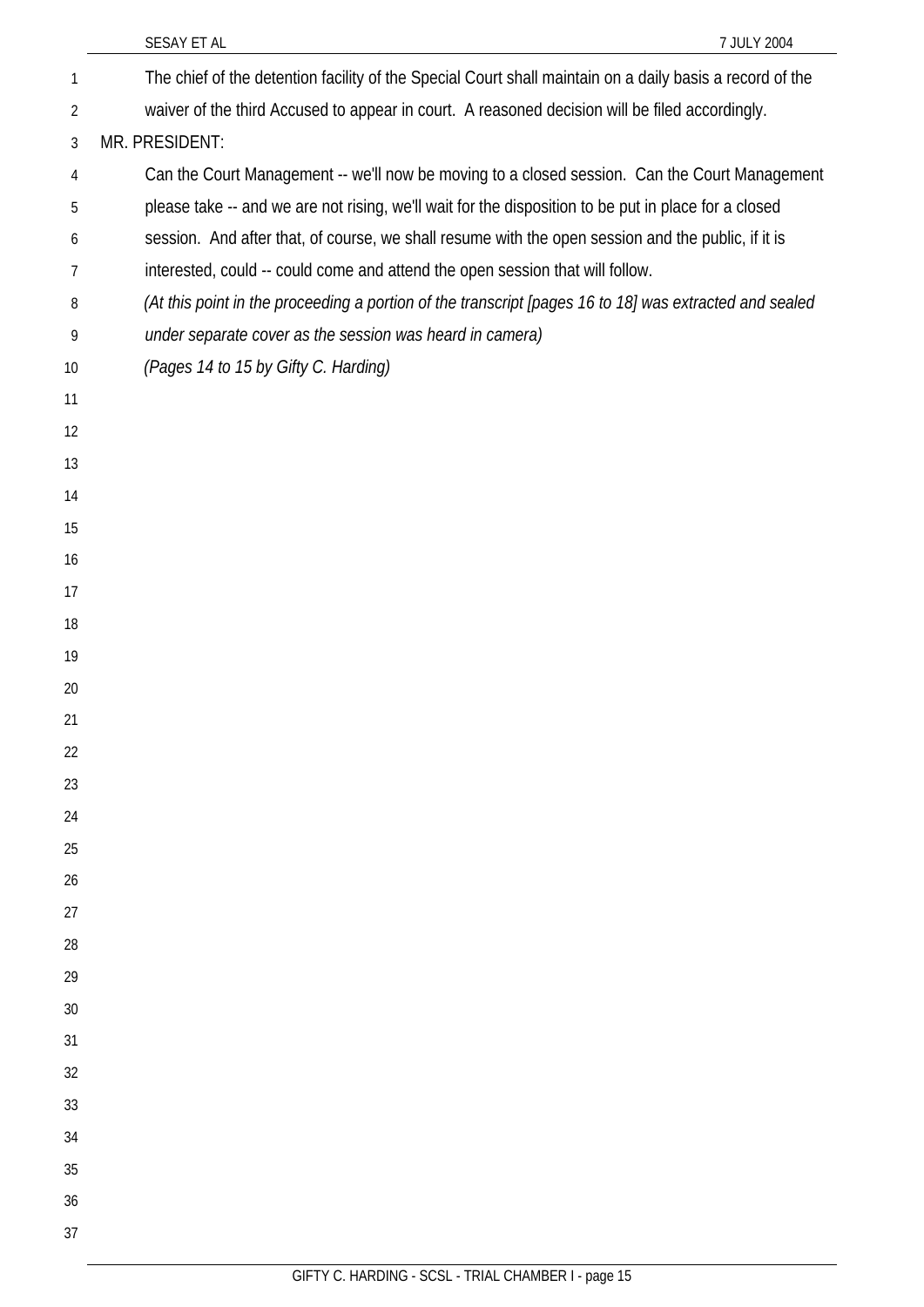|                | 7 JULY 2004<br>SESAY ET AL                                                                               |
|----------------|----------------------------------------------------------------------------------------------------------|
| 1              | The chief of the detention facility of the Special Court shall maintain on a daily basis a record of the |
| $\overline{2}$ | waiver of the third Accused to appear in court. A reasoned decision will be filed accordingly.           |
| 3              | MR. PRESIDENT:                                                                                           |
| 4              | Can the Court Management -- we'll now be moving to a closed session. Can the Court Management            |
| 5              | please take -- and we are not rising, we'll wait for the disposition to be put in place for a closed     |
| 6              | session. And after that, of course, we shall resume with the open session and the public, if it is       |
| 7              | interested, could -- could come and attend the open session that will follow.                            |
| 8              | (At this point in the proceeding a portion of the transcript [pages 16 to 18] was extracted and sealed   |
| 9              | under separate cover as the session was heard in camera)                                                 |
| 10             | (Pages 14 to 15 by Gifty C. Harding)                                                                     |
| 11             |                                                                                                          |
| 12             |                                                                                                          |
| 13             |                                                                                                          |
| 14             |                                                                                                          |
| 15             |                                                                                                          |
| 16             |                                                                                                          |
| 17             |                                                                                                          |
| 18             |                                                                                                          |
| 19             |                                                                                                          |
| 20             |                                                                                                          |
| 21             |                                                                                                          |
| 22             |                                                                                                          |
| 23             |                                                                                                          |
| 24             |                                                                                                          |
| 25             |                                                                                                          |
| 26             |                                                                                                          |
| 27             |                                                                                                          |
| 28<br>29       |                                                                                                          |
| 30             |                                                                                                          |
| 31             |                                                                                                          |
| 32             |                                                                                                          |
| 33             |                                                                                                          |
| 34             |                                                                                                          |
| 35             |                                                                                                          |
| 36             |                                                                                                          |
| 37             |                                                                                                          |
|                |                                                                                                          |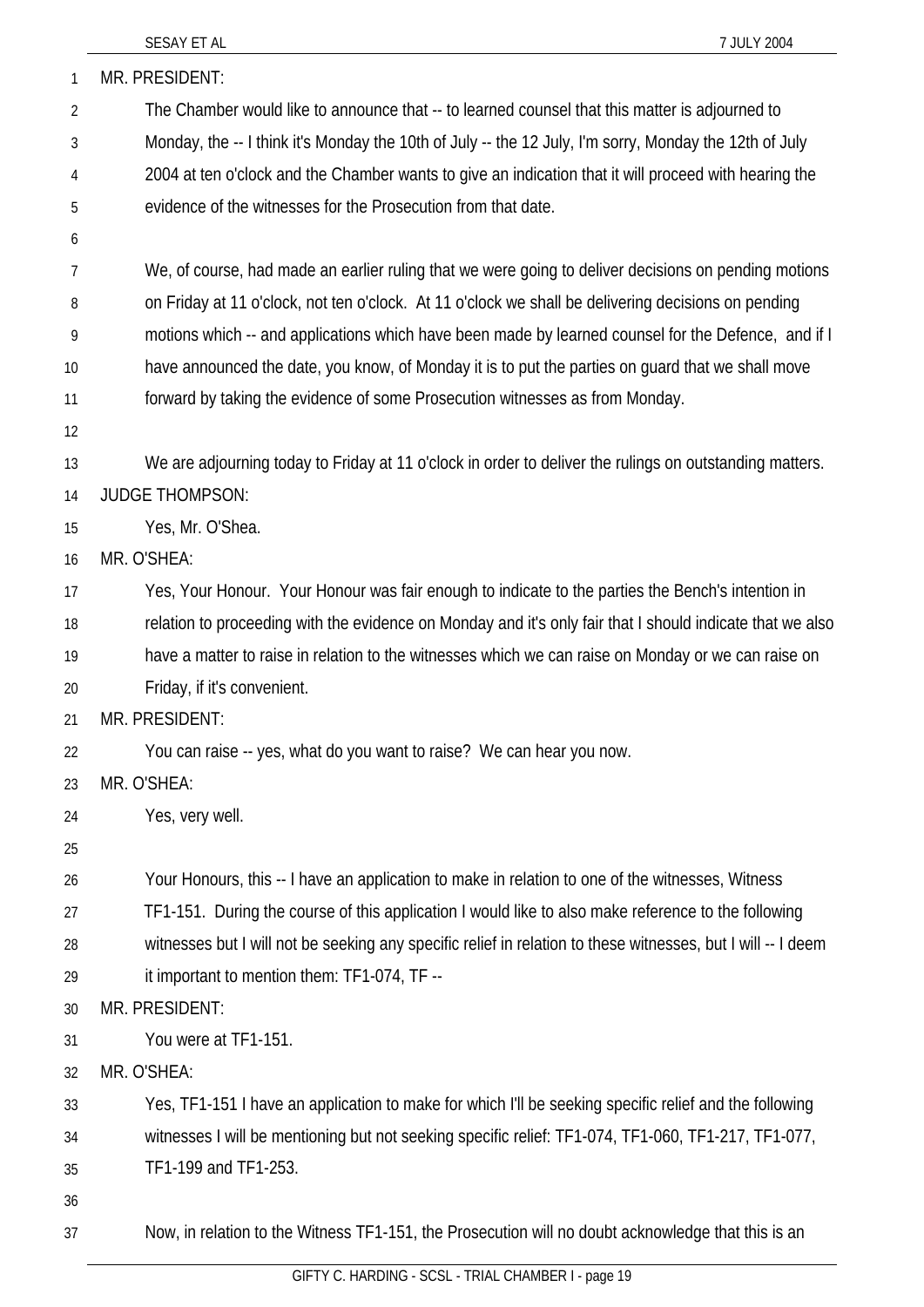| 1              | MR. PRESIDENT:                                                                                               |
|----------------|--------------------------------------------------------------------------------------------------------------|
| $\overline{2}$ | The Chamber would like to announce that -- to learned counsel that this matter is adjourned to               |
| 3              | Monday, the -- I think it's Monday the 10th of July -- the 12 July, I'm sorry, Monday the 12th of July       |
| 4              | 2004 at ten o'clock and the Chamber wants to give an indication that it will proceed with hearing the        |
| 5              | evidence of the witnesses for the Prosecution from that date.                                                |
| 6              |                                                                                                              |
| 7              | We, of course, had made an earlier ruling that we were going to deliver decisions on pending motions         |
| 8              | on Friday at 11 o'clock, not ten o'clock. At 11 o'clock we shall be delivering decisions on pending          |
| 9              | motions which -- and applications which have been made by learned counsel for the Defence, and if I          |
| 10             | have announced the date, you know, of Monday it is to put the parties on guard that we shall move            |
| 11             | forward by taking the evidence of some Prosecution witnesses as from Monday.                                 |
| 12             |                                                                                                              |
| 13             | We are adjourning today to Friday at 11 o'clock in order to deliver the rulings on outstanding matters.      |
| 14             | <b>JUDGE THOMPSON:</b>                                                                                       |
| 15             | Yes, Mr. O'Shea.                                                                                             |
| 16             | MR. O'SHEA:                                                                                                  |
| 17             | Yes, Your Honour. Your Honour was fair enough to indicate to the parties the Bench's intention in            |
| 18             | relation to proceeding with the evidence on Monday and it's only fair that I should indicate that we also    |
| 19             | have a matter to raise in relation to the witnesses which we can raise on Monday or we can raise on          |
| 20             | Friday, if it's convenient.                                                                                  |
| 21             | MR. PRESIDENT:                                                                                               |
| 22             | You can raise -- yes, what do you want to raise? We can hear you now.                                        |
| 23             | MR. O'SHEA:                                                                                                  |
| 24             | Yes, very well.                                                                                              |
| 25             |                                                                                                              |
| 26             | Your Honours, this -- I have an application to make in relation to one of the witnesses, Witness             |
| 27             | TF1-151. During the course of this application I would like to also make reference to the following          |
| 28             | witnesses but I will not be seeking any specific relief in relation to these witnesses, but I will -- I deem |
| 29             | it important to mention them: TF1-074, TF --                                                                 |
| 30             | MR. PRESIDENT:                                                                                               |
| 31             | You were at TF1-151.                                                                                         |
| 32             | MR. O'SHEA:                                                                                                  |
| 33             | Yes, TF1-151 I have an application to make for which I'll be seeking specific relief and the following       |
| 34             | witnesses I will be mentioning but not seeking specific relief: TF1-074, TF1-060, TF1-217, TF1-077,          |
| 35             | TF1-199 and TF1-253.                                                                                         |
| 36             |                                                                                                              |
| 37             | Now, in relation to the Witness TF1-151, the Prosecution will no doubt acknowledge that this is an           |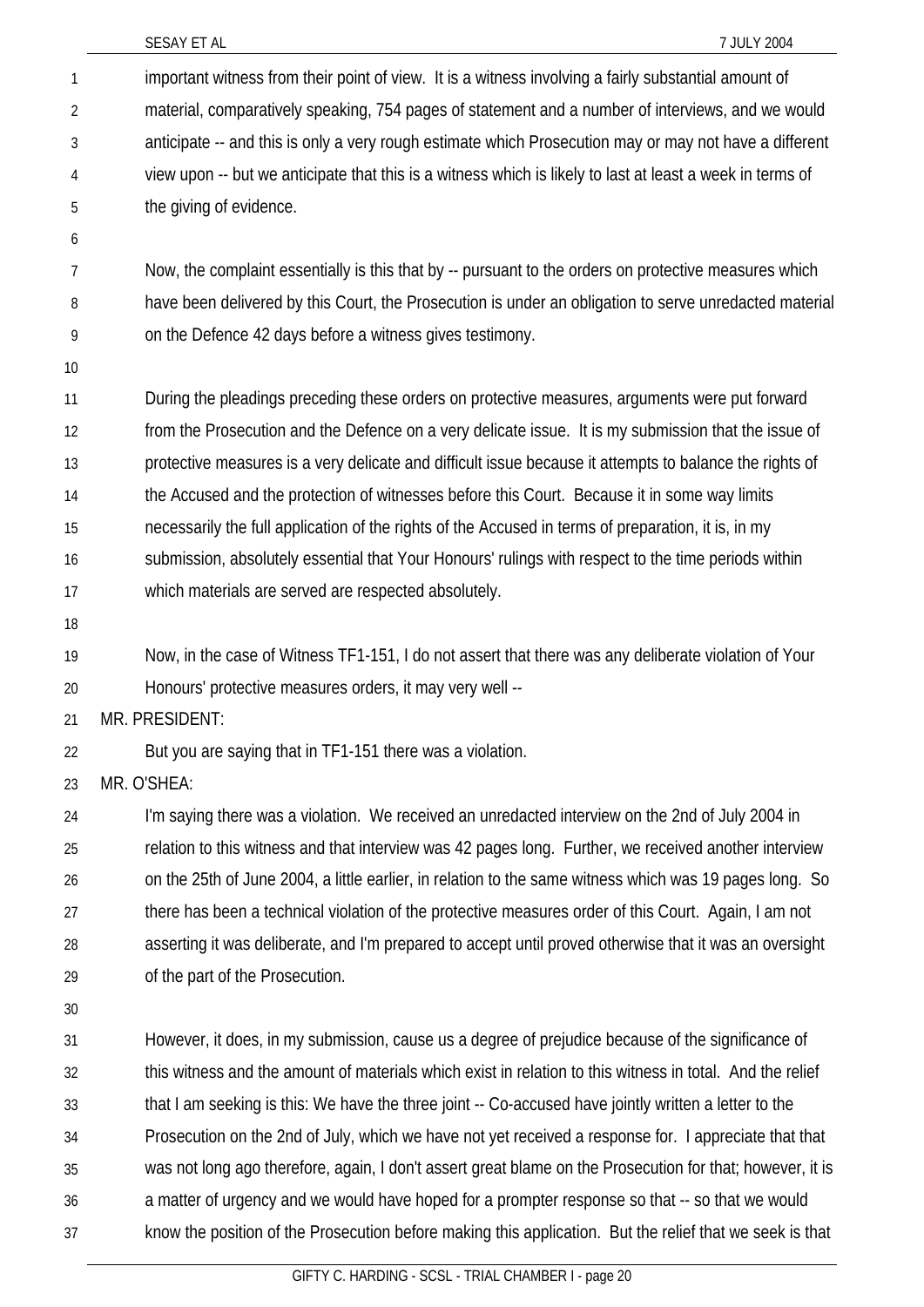|                | SESAY ET AL<br>7 JULY 2004                                                                                |
|----------------|-----------------------------------------------------------------------------------------------------------|
| 1              | important witness from their point of view. It is a witness involving a fairly substantial amount of      |
| $\overline{2}$ | material, comparatively speaking, 754 pages of statement and a number of interviews, and we would         |
| 3              | anticipate -- and this is only a very rough estimate which Prosecution may or may not have a different    |
| 4              | view upon -- but we anticipate that this is a witness which is likely to last at least a week in terms of |
| 5              | the giving of evidence.                                                                                   |
| 6              |                                                                                                           |
| 7              | Now, the complaint essentially is this that by -- pursuant to the orders on protective measures which     |
| 8              | have been delivered by this Court, the Prosecution is under an obligation to serve unredacted material    |
| 9              | on the Defence 42 days before a witness gives testimony.                                                  |
| 10             |                                                                                                           |
| 11             | During the pleadings preceding these orders on protective measures, arguments were put forward            |
| 12             | from the Prosecution and the Defence on a very delicate issue. It is my submission that the issue of      |
| 13             | protective measures is a very delicate and difficult issue because it attempts to balance the rights of   |
| 14             | the Accused and the protection of witnesses before this Court. Because it in some way limits              |
| 15             | necessarily the full application of the rights of the Accused in terms of preparation, it is, in my       |
| 16             | submission, absolutely essential that Your Honours' rulings with respect to the time periods within       |
| 17             | which materials are served are respected absolutely.                                                      |
| 18             |                                                                                                           |
| 19             | Now, in the case of Witness TF1-151, I do not assert that there was any deliberate violation of Your      |
| 20             | Honours' protective measures orders, it may very well --                                                  |
| 21             | MR. PRESIDENT:                                                                                            |
| 22             | But you are saying that in TF1-151 there was a violation.                                                 |
| 23             | MR. O'SHEA:                                                                                               |
| 24             | I'm saying there was a violation. We received an unredacted interview on the 2nd of July 2004 in          |
| 25             | relation to this witness and that interview was 42 pages long. Further, we received another interview     |
| 26             | on the 25th of June 2004, a little earlier, in relation to the same witness which was 19 pages long. So   |
| 27             | there has been a technical violation of the protective measures order of this Court. Again, I am not      |
| 28             | asserting it was deliberate, and I'm prepared to accept until proved otherwise that it was an oversight   |
| 29             | of the part of the Prosecution.                                                                           |
| 30             |                                                                                                           |
| 31             | However, it does, in my submission, cause us a degree of prejudice because of the significance of         |
| 32             | this witness and the amount of materials which exist in relation to this witness in total. And the relief |
| 33             | that I am seeking is this: We have the three joint -- Co-accused have jointly written a letter to the     |
| 34             | Prosecution on the 2nd of July, which we have not yet received a response for. I appreciate that that     |
| 35             | was not long ago therefore, again, I don't assert great blame on the Prosecution for that; however, it is |
| 36             | a matter of urgency and we would have hoped for a prompter response so that -- so that we would           |
| 37             | know the position of the Prosecution before making this application. But the relief that we seek is that  |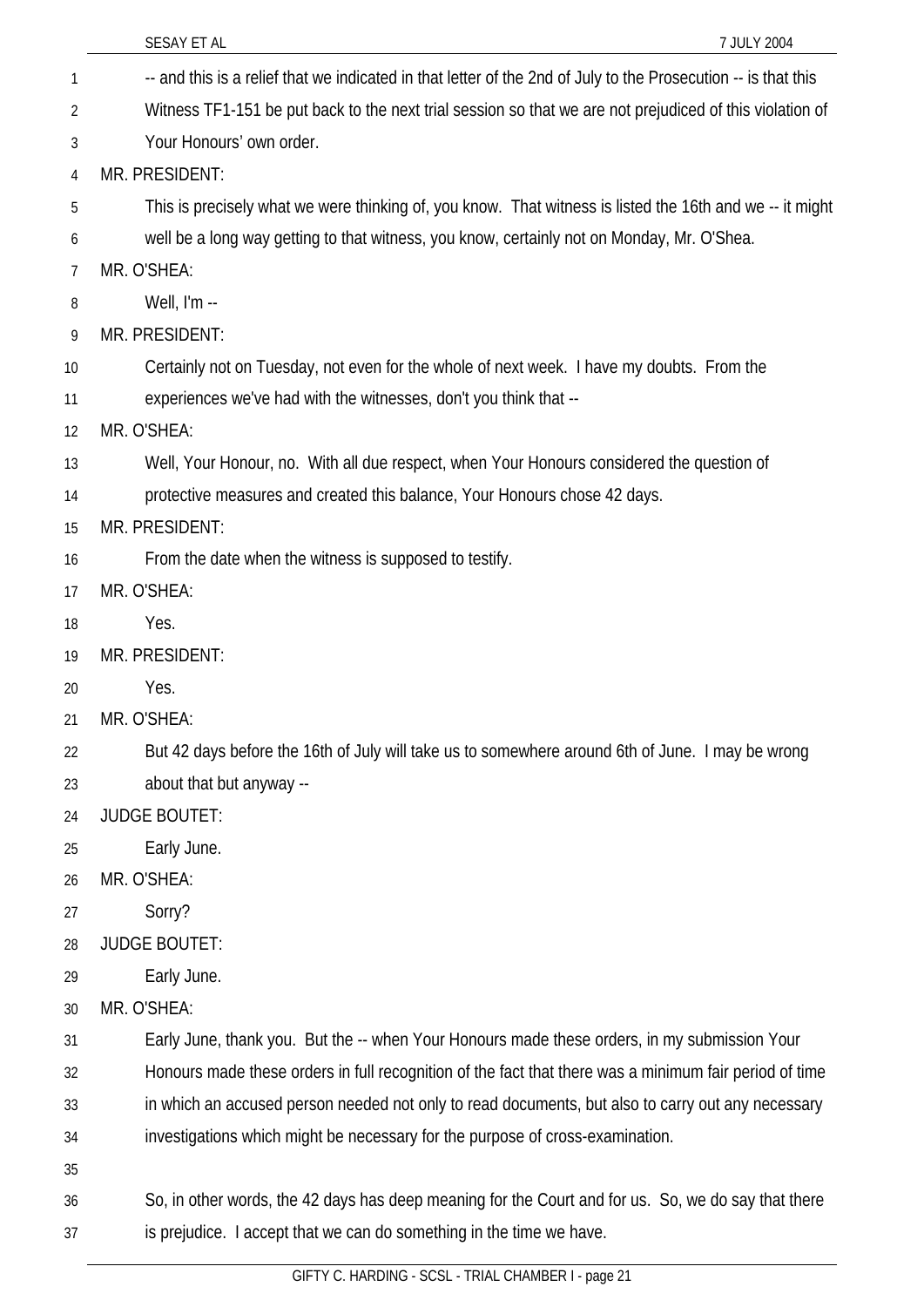|    | SESAY ET AL<br>7 JULY 2004                                                                                     |
|----|----------------------------------------------------------------------------------------------------------------|
| 1  | -- and this is a relief that we indicated in that letter of the 2nd of July to the Prosecution -- is that this |
| 2  | Witness TF1-151 be put back to the next trial session so that we are not prejudiced of this violation of       |
| 3  | Your Honours' own order.                                                                                       |
| 4  | MR. PRESIDENT:                                                                                                 |
| 5  | This is precisely what we were thinking of, you know. That witness is listed the 16th and we -- it might       |
| 6  | well be a long way getting to that witness, you know, certainly not on Monday, Mr. O'Shea.                     |
| 7  | MR. O'SHEA:                                                                                                    |
| 8  | Well, I'm --                                                                                                   |
| 9  | MR. PRESIDENT:                                                                                                 |
| 10 | Certainly not on Tuesday, not even for the whole of next week. I have my doubts. From the                      |
| 11 | experiences we've had with the witnesses, don't you think that --                                              |
| 12 | MR. O'SHEA:                                                                                                    |
| 13 | Well, Your Honour, no. With all due respect, when Your Honours considered the question of                      |
| 14 | protective measures and created this balance, Your Honours chose 42 days.                                      |
| 15 | MR. PRESIDENT:                                                                                                 |
| 16 | From the date when the witness is supposed to testify.                                                         |
| 17 | MR. O'SHEA:                                                                                                    |
| 18 | Yes.                                                                                                           |
| 19 | MR. PRESIDENT:                                                                                                 |
| 20 | Yes.                                                                                                           |
| 21 | MR. O'SHEA:                                                                                                    |
| 22 | But 42 days before the 16th of July will take us to somewhere around 6th of June. I may be wrong               |
| 23 | about that but anyway --                                                                                       |
| 24 | <b>JUDGE BOUTET:</b>                                                                                           |
| 25 | Early June.                                                                                                    |
| 26 | MR. O'SHEA:                                                                                                    |
| 27 | Sorry?                                                                                                         |
| 28 | <b>JUDGE BOUTET:</b>                                                                                           |
| 29 | Early June.                                                                                                    |
| 30 | MR. O'SHEA:                                                                                                    |
| 31 | Early June, thank you. But the -- when Your Honours made these orders, in my submission Your                   |
| 32 | Honours made these orders in full recognition of the fact that there was a minimum fair period of time         |
| 33 | in which an accused person needed not only to read documents, but also to carry out any necessary              |
| 34 | investigations which might be necessary for the purpose of cross-examination.                                  |
| 35 |                                                                                                                |
| 36 | So, in other words, the 42 days has deep meaning for the Court and for us. So, we do say that there            |
| 37 | is prejudice. I accept that we can do something in the time we have.                                           |
|    |                                                                                                                |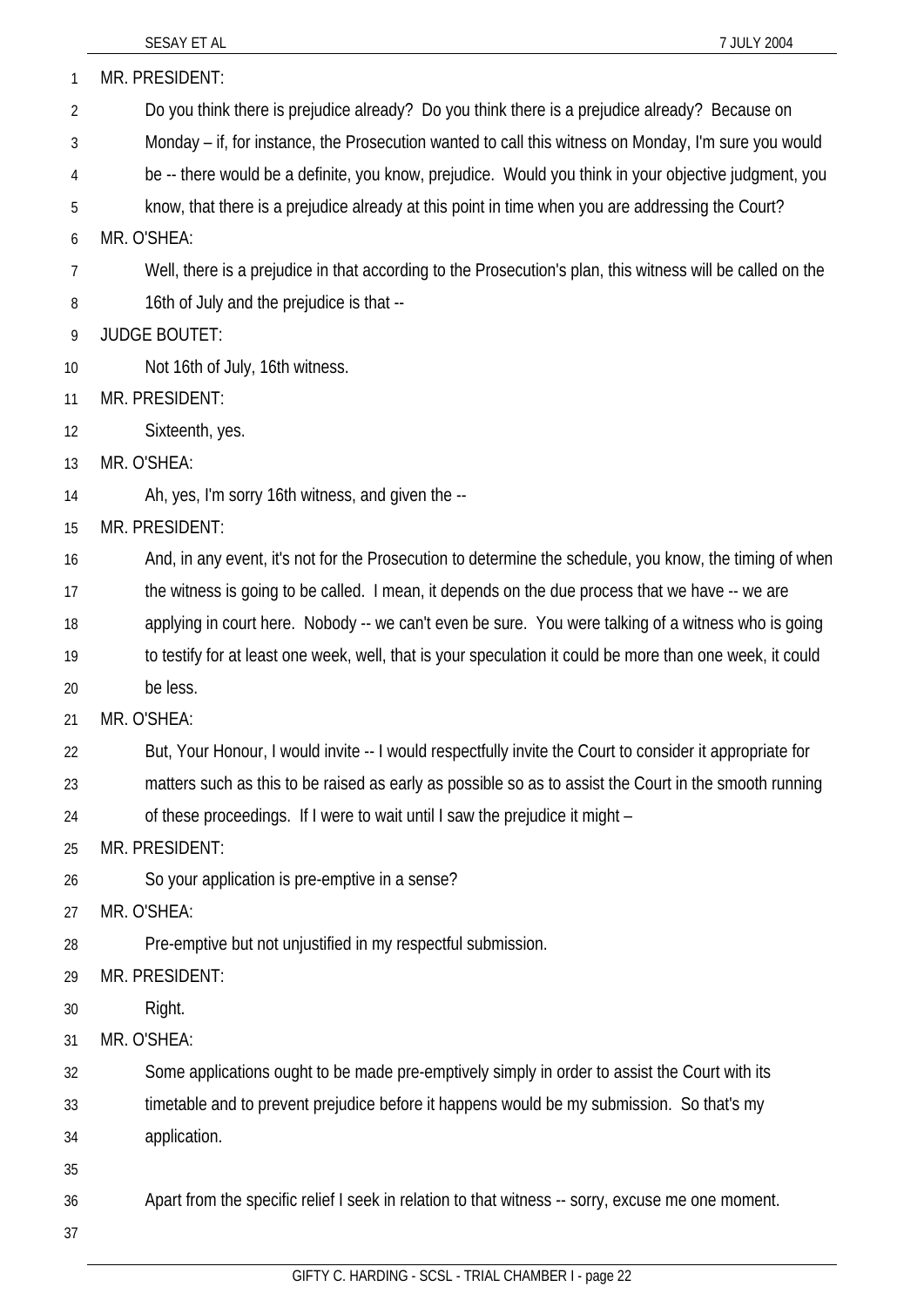| 1  | MR. PRESIDENT:                                                                                             |
|----|------------------------------------------------------------------------------------------------------------|
| 2  | Do you think there is prejudice already? Do you think there is a prejudice already? Because on             |
| 3  | Monday – if, for instance, the Prosecution wanted to call this witness on Monday, I'm sure you would       |
| 4  | be -- there would be a definite, you know, prejudice. Would you think in your objective judgment, you      |
| 5  | know, that there is a prejudice already at this point in time when you are addressing the Court?           |
| 6  | MR. O'SHEA:                                                                                                |
| 7  | Well, there is a prejudice in that according to the Prosecution's plan, this witness will be called on the |
| 8  | 16th of July and the prejudice is that --                                                                  |
| 9  | <b>JUDGE BOUTET:</b>                                                                                       |
| 10 | Not 16th of July, 16th witness.                                                                            |
| 11 | MR. PRESIDENT:                                                                                             |
| 12 | Sixteenth, yes.                                                                                            |
| 13 | MR. O'SHEA:                                                                                                |
| 14 | Ah, yes, I'm sorry 16th witness, and given the --                                                          |
| 15 | MR. PRESIDENT:                                                                                             |
| 16 | And, in any event, it's not for the Prosecution to determine the schedule, you know, the timing of when    |
| 17 | the witness is going to be called. I mean, it depends on the due process that we have -- we are            |
| 18 | applying in court here. Nobody -- we can't even be sure. You were talking of a witness who is going        |
| 19 | to testify for at least one week, well, that is your speculation it could be more than one week, it could  |
| 20 | be less.                                                                                                   |
| 21 | MR. O'SHEA:                                                                                                |
| 22 | But, Your Honour, I would invite -- I would respectfully invite the Court to consider it appropriate for   |
| 23 | matters such as this to be raised as early as possible so as to assist the Court in the smooth running     |
| 24 | of these proceedings. If I were to wait until I saw the prejudice it might -                               |
| 25 | MR. PRESIDENT:                                                                                             |
| 26 | So your application is pre-emptive in a sense?                                                             |
| 27 | MR. O'SHEA:                                                                                                |
| 28 | Pre-emptive but not unjustified in my respectful submission.                                               |
| 29 | MR. PRESIDENT:                                                                                             |
| 30 | Right.                                                                                                     |
| 31 | MR. O'SHEA:                                                                                                |
| 32 | Some applications ought to be made pre-emptively simply in order to assist the Court with its              |
| 33 | timetable and to prevent prejudice before it happens would be my submission. So that's my                  |
| 34 | application.                                                                                               |
| 35 |                                                                                                            |
| 36 | Apart from the specific relief I seek in relation to that witness -- sorry, excuse me one moment.          |
| 37 |                                                                                                            |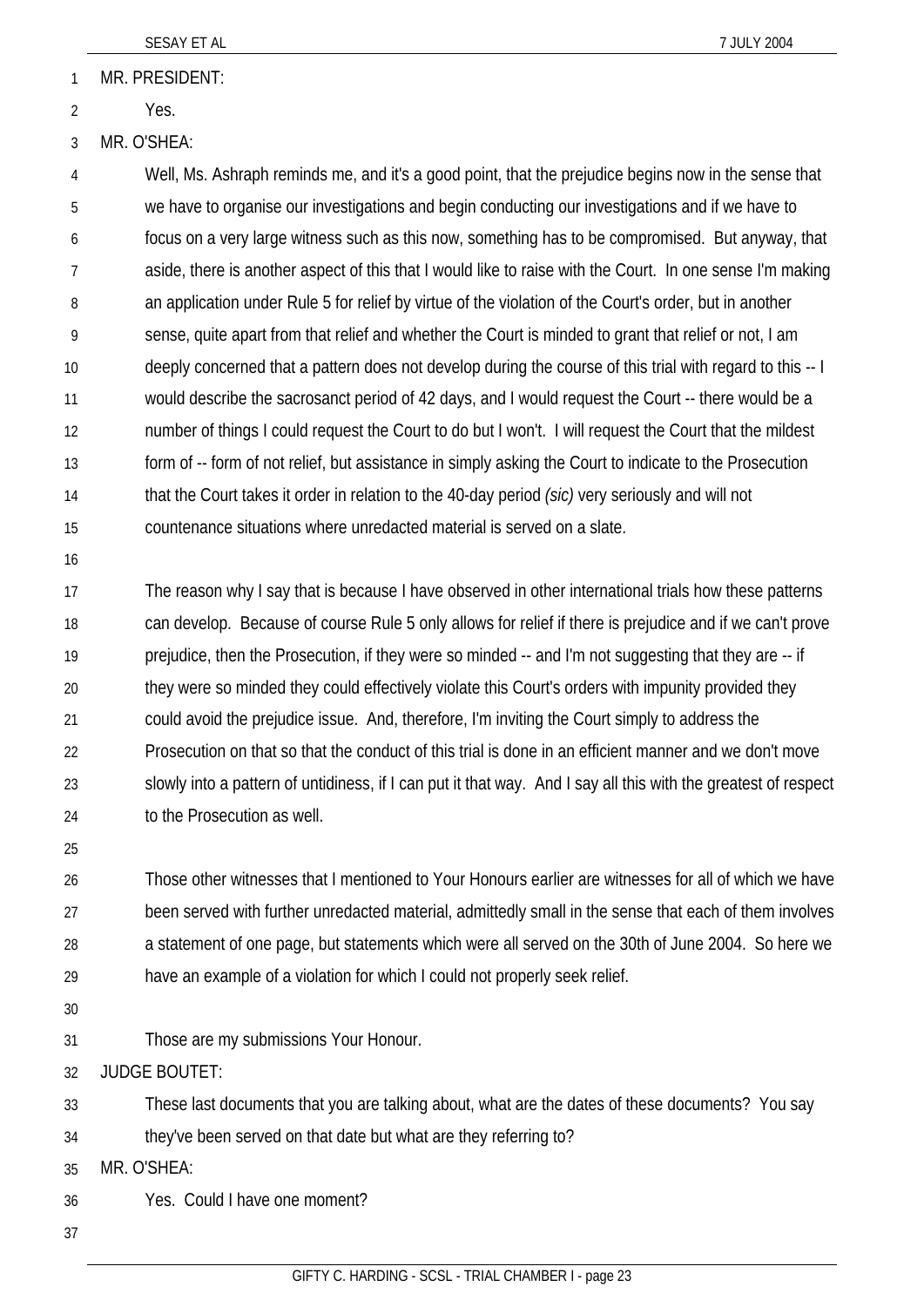MR. PRESIDENT: 1

- Yes. 2
- 3 MR. O'SHEA:

4 5 6 7 8 9 10 11 12 13 14 15 Well, Ms. Ashraph reminds me, and it's a good point, that the prejudice begins now in the sense that we have to organise our investigations and begin conducting our investigations and if we have to focus on a very large witness such as this now, something has to be compromised. But anyway, that aside, there is another aspect of this that I would like to raise with the Court. In one sense I'm making an application under Rule 5 for relief by virtue of the violation of the Court's order, but in another sense, quite apart from that relief and whether the Court is minded to grant that relief or not, I am deeply concerned that a pattern does not develop during the course of this trial with regard to this -- I would describe the sacrosanct period of 42 days, and I would request the Court -- there would be a number of things I could request the Court to do but I won't. I will request the Court that the mildest form of -- form of not relief, but assistance in simply asking the Court to indicate to the Prosecution that the Court takes it order in relation to the 40-day period *(sic)* very seriously and will not countenance situations where unredacted material is served on a slate.

16

17 18 19 20 21 22 23 24 The reason why I say that is because I have observed in other international trials how these patterns can develop. Because of course Rule 5 only allows for relief if there is prejudice and if we can't prove prejudice, then the Prosecution, if they were so minded -- and I'm not suggesting that they are -- if they were so minded they could effectively violate this Court's orders with impunity provided they could avoid the prejudice issue. And, therefore, I'm inviting the Court simply to address the Prosecution on that so that the conduct of this trial is done in an efficient manner and we don't move slowly into a pattern of untidiness, if I can put it that way. And I say all this with the greatest of respect to the Prosecution as well.

25

26 27 28 29 Those other witnesses that I mentioned to Your Honours earlier are witnesses for all of which we have been served with further unredacted material, admittedly small in the sense that each of them involves a statement of one page, but statements which were all served on the 30th of June 2004. So here we have an example of a violation for which I could not properly seek relief.

30

31 Those are my submissions Your Honour.

32 JUDGE BOUTET:

33 These last documents that you are talking about, what are the dates of these documents? You say

34 they've been served on that date but what are they referring to?

35 MR. O'SHEA:

- 36 Yes. Could I have one moment?
- 37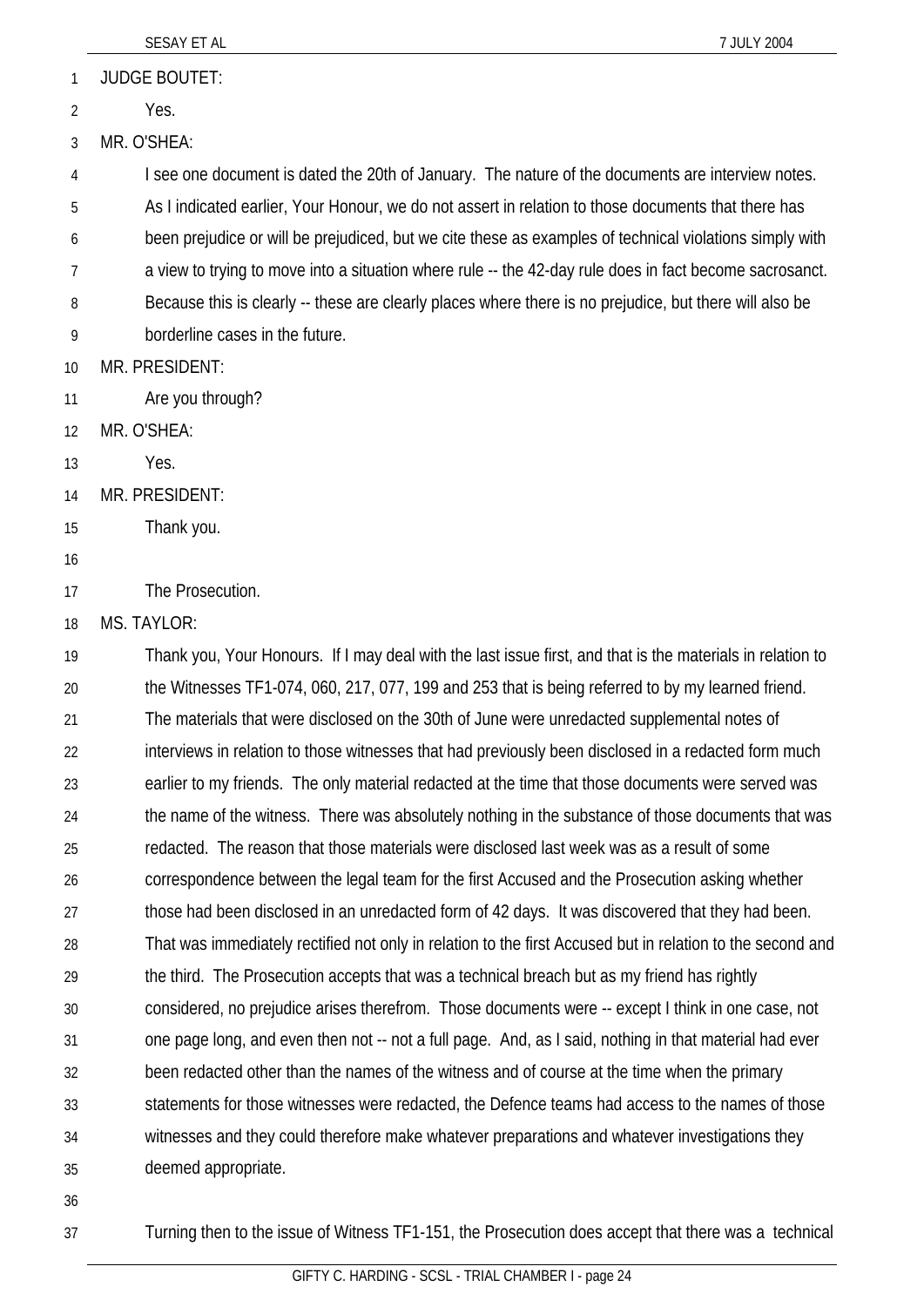|    | SESAY ET AL<br>7 JULY 2004                                                                                 |
|----|------------------------------------------------------------------------------------------------------------|
| 1  | <b>JUDGE BOUTET:</b>                                                                                       |
| 2  | Yes.                                                                                                       |
| 3  | MR. O'SHEA:                                                                                                |
| 4  | I see one document is dated the 20th of January. The nature of the documents are interview notes.          |
| 5  | As I indicated earlier, Your Honour, we do not assert in relation to those documents that there has        |
| 6  | been prejudice or will be prejudiced, but we cite these as examples of technical violations simply with    |
| 7  | a view to trying to move into a situation where rule -- the 42-day rule does in fact become sacrosanct.    |
| 8  | Because this is clearly -- these are clearly places where there is no prejudice, but there will also be    |
| 9  | borderline cases in the future.                                                                            |
| 10 | MR. PRESIDENT:                                                                                             |
| 11 | Are you through?                                                                                           |
| 12 | MR. O'SHEA:                                                                                                |
| 13 | Yes.                                                                                                       |
| 14 | MR. PRESIDENT:                                                                                             |
| 15 | Thank you.                                                                                                 |
| 16 |                                                                                                            |
| 17 | The Prosecution.                                                                                           |
| 18 | MS. TAYLOR:                                                                                                |
| 19 | Thank you, Your Honours. If I may deal with the last issue first, and that is the materials in relation to |
| 20 | the Witnesses TF1-074, 060, 217, 077, 199 and 253 that is being referred to by my learned friend.          |
| 21 | The materials that were disclosed on the 30th of June were unredacted supplemental notes of                |
| 22 | interviews in relation to those witnesses that had previously been disclosed in a redacted form much       |
| 23 | earlier to my friends. The only material redacted at the time that those documents were served was         |
| 24 | the name of the witness. There was absolutely nothing in the substance of those documents that was         |
| 25 | redacted. The reason that those materials were disclosed last week was as a result of some                 |
| 26 | correspondence between the legal team for the first Accused and the Prosecution asking whether             |
| 27 | those had been disclosed in an unredacted form of 42 days. It was discovered that they had been.           |
| 28 | That was immediately rectified not only in relation to the first Accused but in relation to the second and |
| 29 | the third. The Prosecution accepts that was a technical breach but as my friend has rightly                |
| 30 | considered, no prejudice arises therefrom. Those documents were -- except I think in one case, not         |
| 31 | one page long, and even then not -- not a full page. And, as I said, nothing in that material had ever     |
| 32 | been redacted other than the names of the witness and of course at the time when the primary               |
| 33 | statements for those witnesses were redacted, the Defence teams had access to the names of those           |
| 34 | witnesses and they could therefore make whatever preparations and whatever investigations they             |
| 35 | deemed appropriate.                                                                                        |
| 36 |                                                                                                            |
| 37 | Turning then to the issue of Witness TF1-151, the Prosecution does accept that there was a technical       |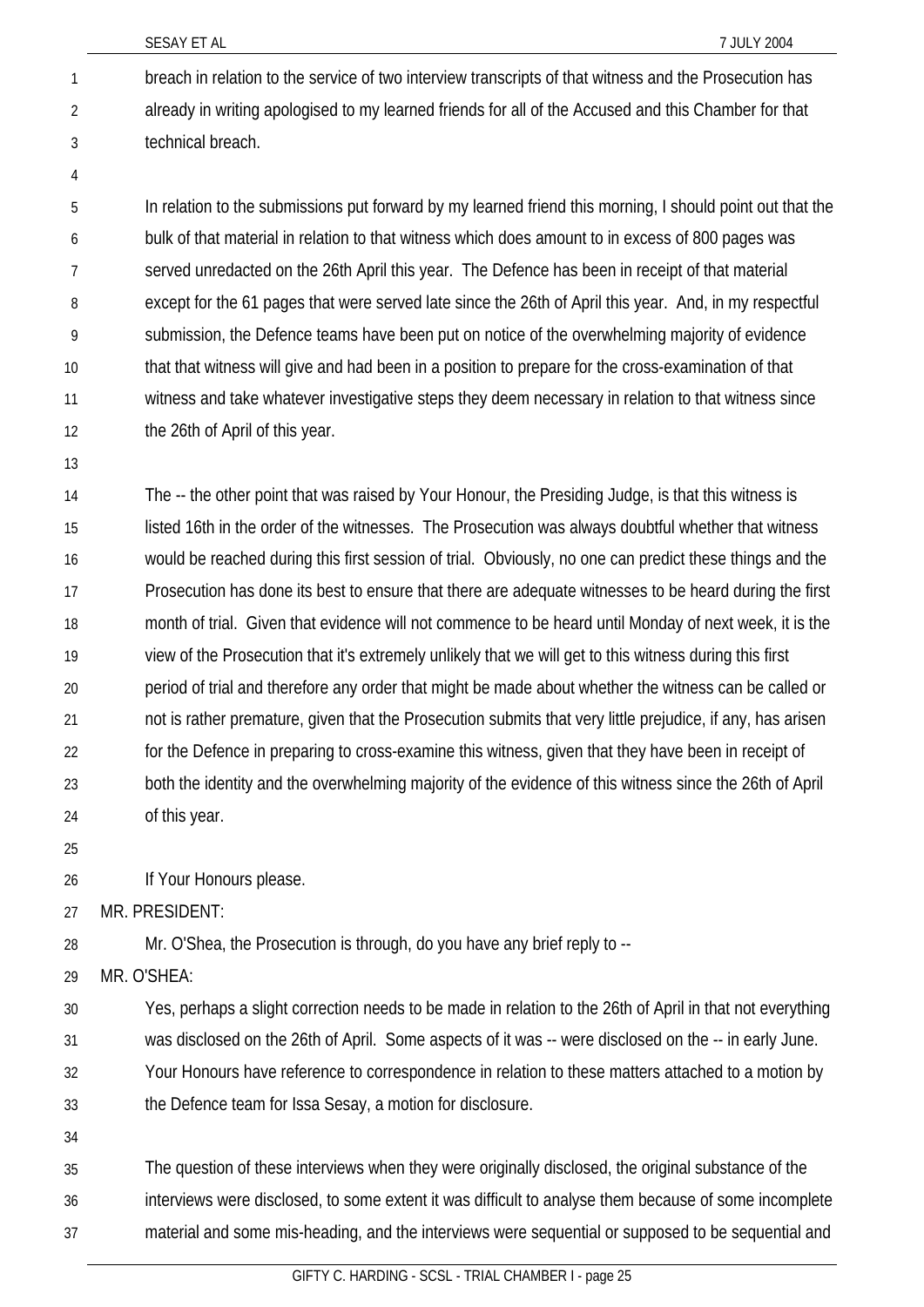SESAY ET AL 7 JULY 2004

- breach in relation to the service of two interview transcripts of that witness and the Prosecution has already in writing apologised to my learned friends for all of the Accused and this Chamber for that technical breach. 1 2 3
- 4

In relation to the submissions put forward by my learned friend this morning, I should point out that the bulk of that material in relation to that witness which does amount to in excess of 800 pages was served unredacted on the 26th April this year. The Defence has been in receipt of that material except for the 61 pages that were served late since the 26th of April this year. And, in my respectful submission, the Defence teams have been put on notice of the overwhelming majority of evidence that that witness will give and had been in a position to prepare for the cross-examination of that witness and take whatever investigative steps they deem necessary in relation to that witness since the 26th of April of this year. 5 6 7 8 9 10 11 12

13

The -- the other point that was raised by Your Honour, the Presiding Judge, is that this witness is listed 16th in the order of the witnesses. The Prosecution was always doubtful whether that witness would be reached during this first session of trial. Obviously, no one can predict these things and the Prosecution has done its best to ensure that there are adequate witnesses to be heard during the first month of trial. Given that evidence will not commence to be heard until Monday of next week, it is the view of the Prosecution that it's extremely unlikely that we will get to this witness during this first period of trial and therefore any order that might be made about whether the witness can be called or not is rather premature, given that the Prosecution submits that very little prejudice, if any, has arisen for the Defence in preparing to cross-examine this witness, given that they have been in receipt of both the identity and the overwhelming majority of the evidence of this witness since the 26th of April of this year. 14 15 16 17 18 19 20 21 22 23 24

25

If Your Honours please. 26

27 MR. PRESIDENT:

28 Mr. O'Shea, the Prosecution is through, do you have any brief reply to --

29 MR. O'SHEA:

30 31 32 33 Yes, perhaps a slight correction needs to be made in relation to the 26th of April in that not everything was disclosed on the 26th of April. Some aspects of it was -- were disclosed on the -- in early June. Your Honours have reference to correspondence in relation to these matters attached to a motion by the Defence team for Issa Sesay, a motion for disclosure.

34

35 36 37 The question of these interviews when they were originally disclosed, the original substance of the interviews were disclosed, to some extent it was difficult to analyse them because of some incomplete material and some mis-heading, and the interviews were sequential or supposed to be sequential and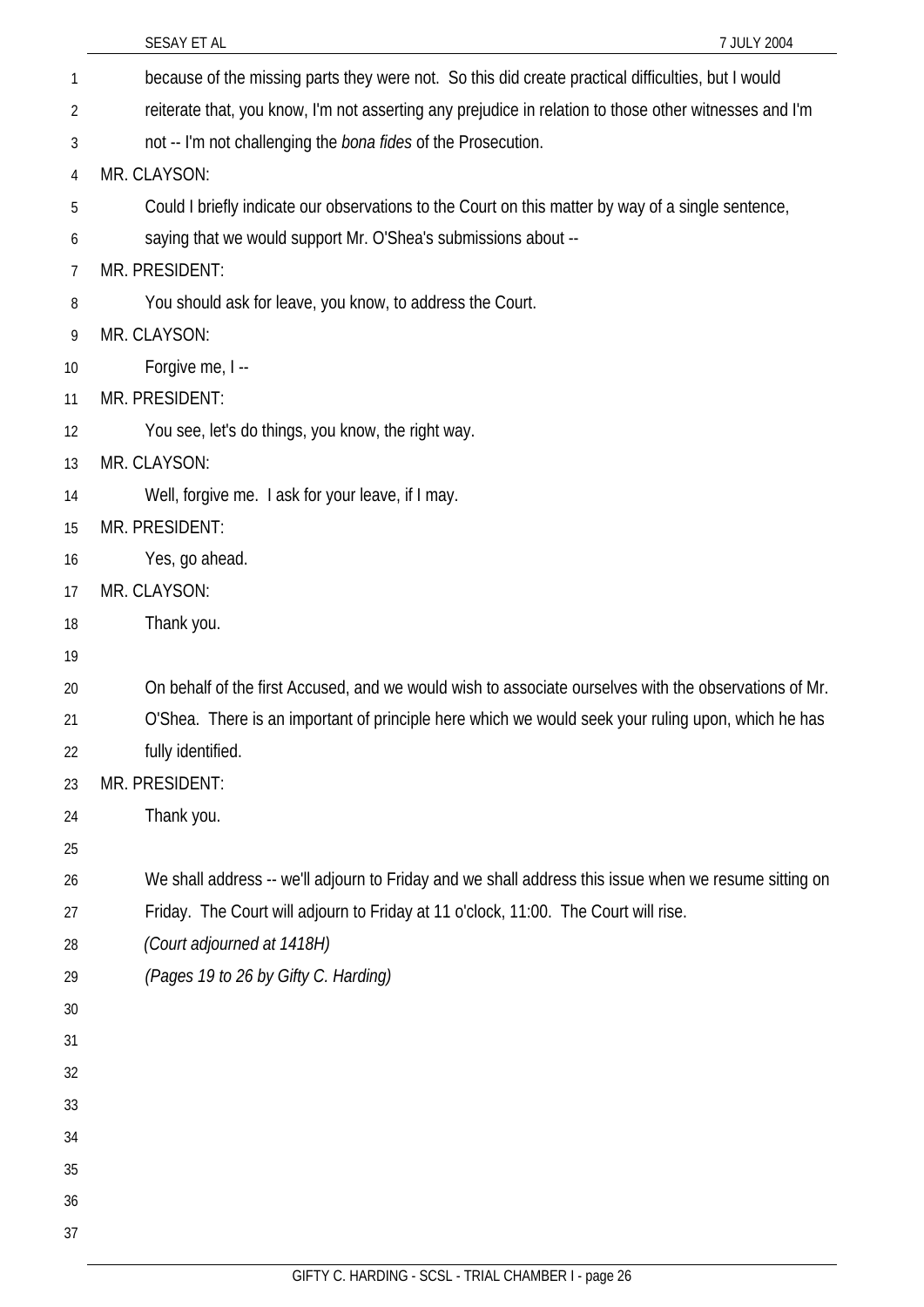|    | 7 JULY 2004<br>SESAY ET AL                                                                             |
|----|--------------------------------------------------------------------------------------------------------|
| 1  | because of the missing parts they were not. So this did create practical difficulties, but I would     |
| 2  | reiterate that, you know, I'm not asserting any prejudice in relation to those other witnesses and I'm |
| 3  | not -- I'm not challenging the <i>bona fides</i> of the Prosecution.                                   |
| 4  | MR. CLAYSON:                                                                                           |
| 5  | Could I briefly indicate our observations to the Court on this matter by way of a single sentence,     |
| 6  | saying that we would support Mr. O'Shea's submissions about --                                         |
| 7  | MR. PRESIDENT:                                                                                         |
| 8  | You should ask for leave, you know, to address the Court.                                              |
| 9  | MR. CLAYSON:                                                                                           |
| 10 | Forgive me, I --                                                                                       |
| 11 | MR. PRESIDENT:                                                                                         |
| 12 | You see, let's do things, you know, the right way.                                                     |
| 13 | MR. CLAYSON:                                                                                           |
| 14 | Well, forgive me. I ask for your leave, if I may.                                                      |
| 15 | MR. PRESIDENT:                                                                                         |
| 16 | Yes, go ahead.                                                                                         |
| 17 | MR. CLAYSON:                                                                                           |
| 18 | Thank you.                                                                                             |
| 19 |                                                                                                        |
| 20 | On behalf of the first Accused, and we would wish to associate ourselves with the observations of Mr.  |
| 21 | O'Shea. There is an important of principle here which we would seek your ruling upon, which he has     |
| 22 | fully identified.                                                                                      |
| 23 | MR. PRESIDENT:                                                                                         |
| 24 | Thank you.                                                                                             |
| 25 |                                                                                                        |
| 26 | We shall address -- we'll adjourn to Friday and we shall address this issue when we resume sitting on  |
| 27 | Friday. The Court will adjourn to Friday at 11 o'clock, 11:00. The Court will rise.                    |
| 28 | (Court adjourned at 1418H)                                                                             |
| 29 | (Pages 19 to 26 by Gifty C. Harding)                                                                   |
| 30 |                                                                                                        |
| 31 |                                                                                                        |
| 32 |                                                                                                        |
| 33 |                                                                                                        |
| 34 |                                                                                                        |
| 35 |                                                                                                        |
| 36 |                                                                                                        |
| 37 |                                                                                                        |